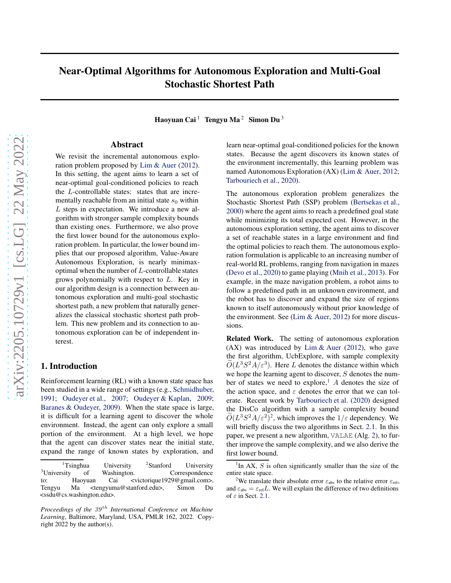# Near-Optimal Algorithms for Autonomous Exploration and Multi-Goal Stochastic Shortest Path

Haoyuan Cai<sup>1</sup> Tengyu Ma<sup>2</sup> Simon Du<sup>3</sup>

### Abstract

We revisit the incremental autonomous exploration problem proposed by [Lim & Auer](#page-8-0) [\(2012\)](#page-8-0). In this setting, the agent aims to learn a set of near-optimal goal-conditioned policies to reach the L-controllable states: states that are incrementally reachable from an initial state  $s_0$  within L steps in expectation. We introduce a new algorithm with stronger sample complexity bounds than existing ones. Furthermore, we also prove the first lower bound for the autonomous exploration problem. In particular, the lower bound implies that our proposed algorithm, Value-Aware Autonomous Exploration, is nearly minimaxoptimal when the number of L-controllable states grows polynomially with respect to L. Key in our algorithm design is a connection between autonomous exploration and multi-goal stochastic shortest path, a new problem that naturally generalizes the classical stochastic shortest path problem. This new problem and its connection to autonomous exploration can be of independent interest.

## 1. Introduction

Reinforcement learning (RL) with a known state space has been studied in a wide range of settings (e.g., [Schmidhuber,](#page-8-1) [1991;](#page-8-1) [Oudeyer et al.](#page-8-2), [2007](#page-8-2); [Oudeyer & Kaplan,](#page-8-3) [2009;](#page-8-3) [Baranes & Oudeyer,](#page-7-0) [2009\)](#page-7-0). When the state space is large, it is difficult for a learning agent to discover the whole environment. Instead, the agent can only explore a small portion of the environment. At a high level, we hope that the agent can discover states near the initial state, expand the range of known states by exploration, and

learn near-optimal goal-conditioned policies for the known states. Because the agent discovers its known states of the environment incrementally, this learning problem was named Autonomous Exploration (AX) [\(Lim & Auer,](#page-8-0) [2012;](#page-8-0) [Tarbouriech et al.,](#page-8-4) [2020\)](#page-8-4).

The autonomous exploration problem generalizes the Stochastic Shortest Path (SSP) problem [\(Bertsekas et al.](#page-8-5), [2000\)](#page-8-5) where the agent aims to reach a predefined goal state while minimizing its total expected cost. However, in the autonomous exploration setting, the agent aims to discover a set of reachable states in a large environment and find the optimal policies to reach them. The autonomous exploration formulation is applicable to an increasing number of real-world RL problems, ranging from navigation in mazes [\(Devo et al.](#page-8-6), [2020\)](#page-8-6) to game playing [\(Mnih et al.,](#page-8-7) [2013](#page-8-7)). For example, in the maze navigation problem, a robot aims to follow a predefined path in an unknown environment, and the robot has to discover and expand the size of regions known to itself autonomously without prior knowledge of the environment. See [\(Lim & Auer](#page-8-0), [2012\)](#page-8-0) for more discussions.

Related Work. The setting of autonomous exploration  $(AX)$  was introduced by [Lim & Auer](#page-8-0) [\(2012\)](#page-8-0), who gave the first algorithm, UcbExplore, with sample complexity  $\tilde{O}(L^3 S^2 A/\varepsilon^3)$ . Here L denotes the distance within which we hope the learning agent to discover,  $S$  denotes the num-ber of states we need to explore,<sup>[1](#page-0-0)</sup> A denotes the size of the action space, and  $\varepsilon$  denotes the error that we can tolerate. Recent work by [Tarbouriech et al.](#page-8-4) [\(2020\)](#page-8-4) designed the DisCo algorithm with a sample complexity bound  $\tilde{O}(L^3 S^2 A/\varepsilon^2)^2$  $\tilde{O}(L^3 S^2 A/\varepsilon^2)^2$  $\tilde{O}(L^3 S^2 A/\varepsilon^2)^2$ , which improves the  $1/\varepsilon$  dependency. We will briefly discuss the two algorithms in Sect. [2.1.](#page-3-0) In this paper, we present a new algorithm, VALAE (Alg. [2\)](#page-5-0), to further improve the sample complexity, and we also derive the first lower bound.

 $1$ <sup>1</sup>Tsinghua University <sup>2</sup>Stanford<br>
<sup>3</sup>University of Washington. University of Washington. Correspondence<br>Haoyuan Cai <victorique1929@gmail.com>, to: Haoyuan Cai <victorique1929@gmail.com>, Tengyu Ma <tengyuma@stanford.edu>, Simon Du <ssdu@cs.washington.edu>.

*Proceedings of the 39<sup>th</sup> International Conference on Machine Learning*, Baltimore, Maryland, USA, PMLR 162, 2022. Copyright 2022 by the author(s).

<span id="page-0-0"></span><sup>&</sup>lt;sup>1</sup>In AX,  $S$  is often significantly smaller than the size of the entire state space.

<span id="page-0-1"></span><sup>&</sup>lt;sup>2</sup>We translate their absolute error  $\varepsilon_{\text{abs}}$  to the relative error  $\varepsilon_{\text{rel}}$ , and  $\varepsilon_{\text{abs}} = \varepsilon_{\text{rel}} L$ . We will explain the difference of two definitions of  $\varepsilon$  in Sect. [2.1.](#page-3-0)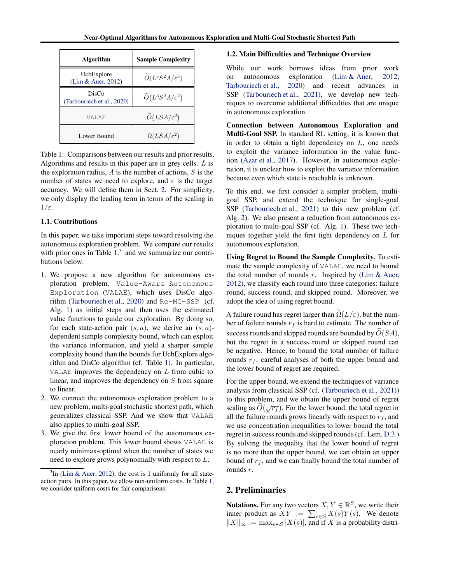<span id="page-1-1"></span>

| Algorithm                           | <b>Sample Complexity</b>               |
|-------------------------------------|----------------------------------------|
| UcbExplore<br>(Lim & Auer, 2012)    | $\widetilde{O}(L^3S^2A/\varepsilon^3)$ |
| DisCo<br>(Tarbouriech et al., 2020) | $\widetilde{O}(L^3S^2A/\varepsilon^2)$ |
| VALAE.                              | $\widetilde{O}(LSA/\varepsilon^2)$     |
| Lower Bound                         | $\Omega(LSA/\varepsilon^2)$            |

Table 1: Comparisons between our results and prior results. Algorithms and results in this paper are in grey cells. L is the exploration radius,  $A$  is the number of actions,  $S$  is the number of states we need to explore, and  $\varepsilon$  is the target accuracy. We will define them in Sect. [2.](#page-1-0) For simplicity, we only display the leading term in terms of the scaling in  $1/\varepsilon$ .

#### 1.1. Contributions

In this paper, we take important steps toward resolving the autonomous exploration problem. We compare our results with prior ones in Table  $1<sup>3</sup>$  $1<sup>3</sup>$  $1<sup>3</sup>$  and we summarize our contributions below:

- 1. We propose a new algorithm for autonomous exploration problem, Value-Aware Autonomous Exploration (VALAE), which uses DisCo algorithm [\(Tarbouriech et al.](#page-8-4), [2020](#page-8-4)) and Re-MG-SSP (cf. Alg. [1\)](#page-4-0) as initial steps and then uses the estimated value functions to guide our exploration. By doing so, for each state-action pair  $(s, a)$ , we derive an  $(s, a)$ dependent sample complexity bound, which can exploit the variance information, and yield a sharper sample complexity bound than the bounds for UcbExplore algorithm and DisCo algorithm (cf. Table [1\)](#page-1-1). In particular, VALAE improves the dependency on  $L$  from cubic to linear, and improves the dependency on S from square to linear.
- 2. We connect the autonomous exploration problem to a new problem, multi-goal stochastic shortest path, which generalizes classical SSP. And we show that VALAE also applies to multi-goal SSP.
- 3. We give the first lower bound of the autonomous exploration problem. This lower bound shows VALAE is nearly minimax-optimal when the number of states we need to explore grows polynomially with respect to L.

#### 1.2. Main Difficulties and Technique Overview

While our work borrows ideas from prior work on autonomous exploration [\(Lim & Auer,](#page-8-0) [2012;](#page-8-0) [Tarbouriech et al.,](#page-8-4) [2020\)](#page-8-4) and recent advances in SSP [\(Tarbouriech et al.](#page-8-8), [2021](#page-8-8)), we develop new techniques to overcome additional difficulties that are unique in autonomous exploration.

Connection between Autonomous Exploration and Multi-Goal SSP. In standard RL setting, it is known that in order to obtain a tight dependency on  $L$ , one needs to exploit the variance information in the value function [\(Azar et al.,](#page-7-1) [2017\)](#page-7-1). However, in autonomous exploration, it is unclear how to exploit the variance information because even which state is reachable is unknown.

To this end, we first consider a simpler problem, multigoal SSP, and extend the technique for single-goal SSP [\(Tarbouriech et al.](#page-8-8), [2021\)](#page-8-8) to this new problem (cf. Alg. [2\)](#page-5-0). We also present a reduction from autonomous exploration to multi-goal SSP (cf. Alg. [1\)](#page-4-0). These two techniques together yield the first tight dependency on L for autonomous exploration.

Using Regret to Bound the Sample Complexity. To estimate the sample complexity of VALAE, we need to bound the total number of rounds  $r$ . Inspired by [\(Lim & Auer](#page-8-0), [2012\)](#page-8-0), we classify each round into three categories: failure round, success round, and skipped round. Moreover, we adopt the idea of using regret bound.

A failure round has regret larger than  $\tilde{\Omega}(L/\varepsilon)$ , but the number of failure rounds  $r_f$  is hard to estimate. The number of success rounds and skipped rounds are bounded by  $\widetilde{O}(SA)$ , but the regret in a success round or skipped round can be negative. Hence, to bound the total number of failure rounds  $r_f$ , careful analyses of both the upper bound and the lower bound of regret are required.

For the upper bound, we extend the techniques of variance analysis from classical SSP (cf. [\(Tarbouriech et al.](#page-8-8), [2021\)](#page-8-8)) to this problem, and we obtain the upper bound of regret scaling as  $\widetilde{O}(\sqrt{r_f})$ . For the lower bound, the total regret in all the failure rounds grows linearly with respect to  $r_f$ , and we use concentration inequalities to lower bound the total regret in success rounds and skipped rounds (cf. Lem. [D.3.](#page-17-0)) By solving the inequality that the lower bound of regret is no more than the upper bound, we can obtain an upper bound of  $r_f$ , and we can finally bound the total number of rounds r.

# <span id="page-1-0"></span>2. Preliminaries

**Notations.** For any two vectors  $X, Y \in \mathbb{R}^S$ , we write their inner product as  $XY := \sum_{s \in \mathcal{S}} X(s)Y(s)$ . We denote  $||X||_{\infty} := \max_{s \in \mathcal{S}} |X(s)|$ , and if X is a probability distri-

<span id="page-1-2"></span> $3$ In [\(Lim & Auer](#page-8-0), [2012](#page-8-0)), the cost is 1 uniformly for all stateaction pairs. In this paper, we allow non-uniform costs. In Table [1,](#page-1-1) we consider uniform costs for fair comparisons.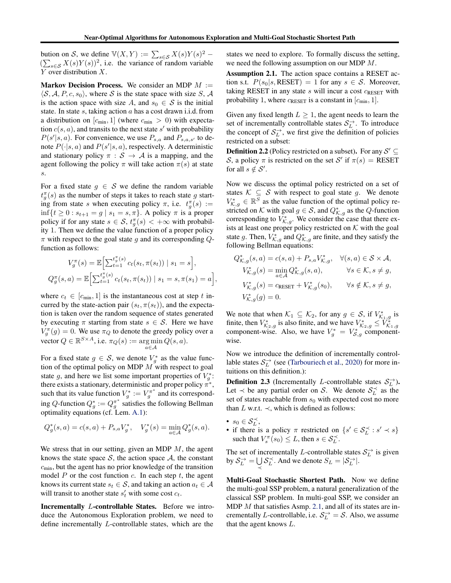bution on S, we define  $\mathbb{V}(X,Y) := \sum_{s \in \mathcal{S}} X(s)Y(s)^2$  –  $(\sum_{s \in \mathcal{S}} X(s)Y(s))^2$ , i.e. the variance of random variable Y over distribution X.

Markov Decision Process. We consider an MDP  $M :=$  $\langle S, A, P, c, s_0 \rangle$ , where S is the state space with size S, A is the action space with size A, and  $s_0 \in S$  is the initial state. In state  $s$ , taking action  $a$  has a cost drawn i.i.d. from a distribution on  $[c_{\text{min}}, 1]$  (where  $c_{\text{min}} > 0$ ) with expectation  $c(s, a)$ , and transits to the next state s' with probability  $P(s'|s, a)$ . For convenience, we use  $P_{s,a}$  and  $P_{s,a,s'}$  to denote  $P(\cdot|s, a)$  and  $P(s'|s, a)$ , respectively. A deterministic and stationary policy  $\pi : S \to A$  is a mapping, and the agent following the policy  $\pi$  will take action  $\pi(s)$  at state s.

For a fixed state  $g \in S$  we define the random variable  $t_g^{\pi}(s)$  as the number of steps it takes to reach state g starting from state s when executing policy  $\pi$ , i.e.  $t_g^{\pi}(s) :=$  $\inf\{t \geq 0 : s_{t+1} = g \mid s_1 = s, \pi\}.$  A policy  $\pi$  is a proper policy if for any state  $s \in S$ ,  $t_g^{\pi}(s) < +\infty$  with probability 1. Then we define the value function of a proper policy  $\pi$  with respect to the goal state g and its corresponding Qfunction as follows:

$$
V_g^{\pi}(s) = \mathbb{E}\Big[\sum_{t=1}^{t_g^{\pi}(s)} c_t(s_t, \pi(s_t)) | s_1 = s \Big],
$$
  

$$
Q_g^{\pi}(s, a) = \mathbb{E}\Big[\sum_{t=1}^{t_g^{\pi}(s)} c_t(s_t, \pi(s_t)) | s_1 = s, \pi(s_1) = a \Big],
$$

where  $c_t \in [c_{\min}, 1]$  is the instantaneous cost at step t incurred by the state-action pair  $(s_t, \pi(s_t))$ , and the expectation is taken over the random sequence of states generated by executing  $\pi$  starting from state  $s \in S$ . Here we have  $V_g^{\pi}(g) = 0$ . We use  $\pi_Q$  to denote the greedy policy over a vector  $Q \in \mathbb{R}^{S \times A}$ , i.e.  $\pi_Q(s) := \arg\min_{\sigma \in A} Q(s, a)$ . a∈A

For a fixed state  $g \in S$ , we denote  $V_g^*$  as the value function of the optimal policy on MDP  $M$  with respect to goal state g, and here we list some important properties of  $V_g^*$ : there exists a stationary, deterministic and proper policy  $\pi^*$ , such that its value function  $V_g^* := V_g^{\pi^*}$  and its corresponding Q-function  $Q_g^* := Q_g^{\pi^*}$  satisfies the following Bellman optimality equations (cf. Lem. [A.1\)](#page-9-0):

$$
Q_g^*(s, a) = c(s, a) + P_{s,a}V_g^*, \quad V_g^*(s) = \min_{a \in \mathcal{A}} Q_g^*(s, a).
$$

We stress that in our setting, given an MDP  $M$ , the agent knows the state space  $S$ , the action space  $A$ , the constant  $c_{\text{min}}$ , but the agent has no prior knowledge of the transition model P or the cost function c. In each step t, the agent knows its current state  $s_t \in \mathcal{S}$ , and taking an action  $a_t \in \mathcal{A}$ will transit to another state  $s'_t$  with some cost  $c_t$ .

Incrementally L-controllable States. Before we introduce the Autonomous Exploration problem, we need to define incrementally L-controllable states, which are the

<span id="page-2-0"></span>states we need to explore. To formally discuss the setting, we need the following assumption on our MDP  $M$ .

Assumption 2.1. The action space contains a RESET action s.t.  $P(s_0|s, \text{RESET}) = 1$  for any  $s \in S$ . Moreover, taking RESET in any state  $s$  will incur a cost  $c_{\text{RESET}}$  with probability 1, where  $c_{\text{RESET}}$  is a constant in  $[c_{\text{min}}, 1]$ .

Given any fixed length  $L \geq 1$ , the agent needs to learn the set of incrementally controllable states  $S_L^{\rightarrow}$ . To introduce the concept of  $S_L^{\rightarrow}$ , we first give the definition of policies restricted on a subset:

**Definition 2.2** (Policy restricted on a subset). For any  $S' \subseteq$ S, a policy  $\pi$  is restricted on the set S' if  $\pi(s)$  = RESET for all  $s \notin S'$ .

Now we discuss the optimal policy restricted on a set of states  $K \subseteq S$  with respect to goal state g. We denote  $V_{K,g}^* \in \mathbb{R}^S$  as the value function of the optimal policy restricted on K with goal  $g \in S$ , and  $Q_{K,g}^*$  as the Q-function corresponding to  $V_{K,g}^*$ . We consider the case that there exists at least one proper policy restricted on  $K$  with the goal state g. Then,  $V_{K,g}^*$  and  $Q_{K,g}^*$  are finite, and they satisfy the following Bellman equations:

$$
\begin{aligned}\nQ_{\mathcal{K},g}^*(s, a) &= c(s, a) + P_{s,a} V_{\mathcal{K},g}^*, \quad \forall (s, a) \in \mathcal{S} \times \mathcal{A}, \\
V_{\mathcal{K},g}^*(s) &= \min_{a \in \mathcal{A}} Q_{\mathcal{K},g}^*(s, a), \qquad \forall s \in \mathcal{K}, s \neq g, \\
V_{\mathcal{K},g}^*(s) &= c_{\text{RESET}} + V_{\mathcal{K},g}^*(s_0), \qquad \forall s \notin \mathcal{K}, s \neq g, \\
V_{\mathcal{K},g}^*(g) &= 0.\n\end{aligned}
$$

We note that when  $\mathcal{K}_1 \subseteq \mathcal{K}_2$ , for any  $g \in \mathcal{S}$ , if  $V_{\mathcal{K}_{1,g}}^*$  is finite, then  $V^*_{\mathcal{K}_2,g}$  is also finite, and we have  $V^*_{\mathcal{K}_2,g} \leq \tilde{V}^*_{\mathcal{K}_1,g}$ <br>component-wise. Also, we have  $V^*_g = V^*_{\mathcal{S},g}$  componentwise.

Now we introduce the definition of incrementally controllable states  $S_L^{\rightarrow}$  (see [\(Tarbouriech et al.,](#page-8-4) [2020\)](#page-8-4) for more intuitions on this definition.):

**Definition 2.3** (Incrementally L-controllable states  $S_L^{\rightarrow}$ ). Let  $\prec$  be any partial order on S. We denote  $S_L^{\prec}$  as the set of states reachable from  $s_0$  with expected cost no more than L w.r.t.  $\prec$ , which is defined as follows:

- $s_0 \in \mathcal{S}_L^{\prec}$ ,
- if there is a policy  $\pi$  restricted on  $\{s' \in S_L^{\prec} : s' \prec s\}$ such that  $V_s^{\pi}(s_0) \leq L$ , then  $s \in \mathcal{S}_L^{\prec}$ .

The set of incrementally L-controllable states  $S_L^{\rightarrow}$  is given by  $S_L^{\rightarrow} = \bigcup$  $\bigcup_{\prec} \mathcal{S}_L^{\prec}$ . And we denote  $S_L = |\mathcal{S}_L^{\rightarrow}|$ .

Multi-Goal Stochastic Shortest Path. Now we define the multi-goal SSP problem, a natural generalization of the classical SSP problem. In multi-goal SSP, we consider an MDP  $M$  that satisfies Asmp. [2.1,](#page-2-0) and all of its states are incrementally *L*-controllable, i.e.  $S_L^{\rightarrow} = S$ . Also, we assume that the agent knows L.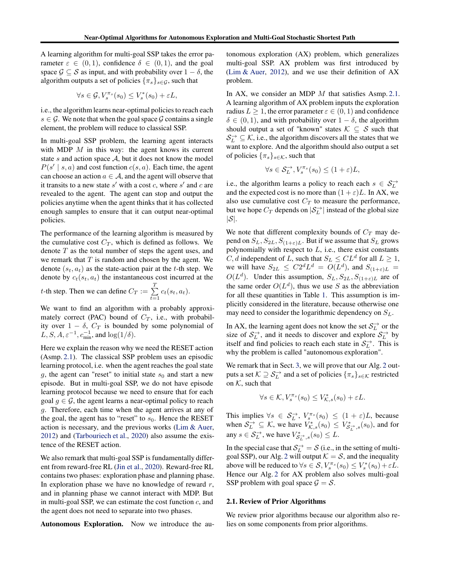A learning algorithm for multi-goal SSP takes the error parameter  $\varepsilon \in (0,1)$ , confidence  $\delta \in (0,1)$ , and the goal space  $\mathcal{G} \subseteq \mathcal{S}$  as input, and with probability over  $1 - \delta$ , the algorithm outputs a set of policies  $\{\pi_s\}_{s\in\mathcal{G}}$ , such that

$$
\forall s \in \mathcal{G}, V_s^{\pi_s}(s_0) \leq V_s^*(s_0) + \varepsilon L,
$$

i.e., the algorithm learns near-optimal policies to reach each  $s \in \mathcal{G}$ . We note that when the goal space  $\mathcal{G}$  contains a single element, the problem will reduce to classical SSP.

In multi-goal SSP problem, the learning agent interacts with MDP  $M$  in this way: the agent knows its current state s and action space  $A$ , but it does not know the model  $P(s' | s, a)$  and cost function  $c(s, a)$ . Each time, the agent can choose an action  $a \in \mathcal{A}$ , and the agent will observe that it transits to a new state  $s'$  with a cost c, where  $s'$  and c are revealed to the agent. The agent can stop and output the policies anytime when the agent thinks that it has collected enough samples to ensure that it can output near-optimal policies.

The performance of the learning algorithm is measured by the cumulative cost  $C_T$ , which is defined as follows. We denote  $T$  as the total number of steps the agent uses, and we remark that  $T$  is random and chosen by the agent. We denote  $(s_t, a_t)$  as the state-action pair at the t-th step. We denote by  $c_t(s_t, a_t)$  the instantaneous cost incurred at the *t*-th step. Then we can define  $C_T := \sum_{i=1}^{T}$  $\sum_{t=1} c_t(s_t, a_t).$ 

We want to find an algorithm with a probably approximately correct (PAC) bound of  $C_T$ , i.e., with probability over  $1 - \delta$ ,  $C_T$  is bounded by some polynomial of L, S, A,  $\varepsilon^{-1}$ ,  $c_{\min}^{-1}$ , and  $\log(1/\delta)$ .

Here we explain the reason why we need the RESET action (Asmp. [2.1\)](#page-2-0). The classical SSP problem uses an episodic learning protocol, i.e. when the agent reaches the goal state g, the agent can "reset" to initial state  $s_0$  and start a new episode. But in multi-goal SSP, we do not have episode learning protocol because we need to ensure that for each goal  $g \in \mathcal{G}$ , the agent learns a near-optimal policy to reach g. Therefore, each time when the agent arrives at any of the goal, the agent has to "reset" to  $s_0$ . Hence the RESET action is necessary, and the previous works [\(Lim & Auer](#page-8-0), [2012\)](#page-8-0) and [\(Tarbouriech et al.,](#page-8-4) [2020](#page-8-4)) also assume the existence of the RESET action.

We also remark that multi-goal SSP is fundamentally different from reward-free RL [\(Jin et al.,](#page-8-9) [2020\)](#page-8-9). Reward-free RL contains two phases: exploration phase and planning phase. In exploration phase we have no knowledge of reward  $r$ , and in planning phase we cannot interact with MDP. But in multi-goal SSP, we can estimate the cost function  $c$ , and the agent does not need to separate into two phases.

Autonomous Exploration. Now we introduce the au-

tonomous exploration (AX) problem, which generalizes multi-goal SSP. AX problem was first introduced by [\(Lim & Auer,](#page-8-0) [2012\)](#page-8-0), and we use their definition of AX problem.

In AX, we consider an MDP  $M$  that satisfies Asmp. [2.1.](#page-2-0) A learning algorithm of AX problem inputs the exploration radius  $L \geq 1$ , the error parameter  $\varepsilon \in (0, 1)$  and confidence  $\delta \in (0, 1)$ , and with probability over  $1 - \delta$ , the algorithm should output a set of "known" states  $K \subseteq S$  such that  $\mathcal{S}_L^{\rightarrow} \subseteq \mathcal{K}$ , i.e., the algorithm discovers all the states that we want to explore. And the algorithm should also output a set of policies  $\{\pi_s\}_{s\in\mathcal{K}}$ , such that

$$
\forall s \in \mathcal{S}_L^{\rightarrow}, V_s^{\pi_s}(s_0) \le (1+\varepsilon)L,
$$

i.e., the algorithm learns a policy to reach each  $s \in S_L^{\rightarrow}$ and the expected cost is no more than  $(1 + \varepsilon)L$ . In AX, we also use cumulative cost  $C_T$  to measure the performance, but we hope  $C_T$  depends on  $|\mathcal{S}_L^{\to}|$  instead of the global size  $|\mathcal{S}|$ .

We note that different complexity bounds of  $C_T$  may depend on  $S_L$ ,  $S_{2L}$ ,  $S_{(1+\epsilon)L}$ . But if we assume that  $S_L$  grows polynomially with respect to  $L$ , i.e., there exist constants C, d independent of L, such that  $S_L \leq CL^d$  for all  $L \geq 1$ , we will have  $S_{2L} \leq C 2^d L^d = O(L^d)$ , and  $S_{(1+\varepsilon)L}$  $O(L^d)$ . Under this assumption,  $S_L, S_{2L}, S_{(1+\varepsilon)L}$  are of the same order  $O(L^d)$ , thus we use S as the abbreviation for all these quantities in Table [1.](#page-1-1) This assumption is implicitly considered in the literature, because otherwise one may need to consider the logarithmic dependency on  $S_L$ .

In AX, the learning agent does not know the set  $S_L^{\rightarrow}$  or the size of  $S_L^{\rightarrow}$ , and it needs to discover and explore  $S_L^{\rightarrow}$  by itself and find policies to reach each state in  $S_L^{\rightarrow}$ . This is why the problem is called "autonomous exploration".

We remark that in Sect. [3,](#page-4-1) we will prove that our Alg. [2](#page-5-0) outputs a set  $\mathcal{K} \supseteq \mathcal{S}_L^{\to}$  and a set of policies  $\{\pi_s\}_{s \in \mathcal{K}}$  restricted on  $K$ , such that

$$
\forall s \in \mathcal{K}, V_s^{\pi_s}(s_0) \leq V_{\mathcal{K},s}^*(s_0) + \varepsilon L.
$$

This implies  $\forall s \in S_L^{\rightarrow}, V_s^{\pi_s}(s_0) \leq (1+\varepsilon)L$ , because when  $S_L^{\to} \subseteq \mathcal{K}$ , we have  $V_{\mathcal{K},s}^*(s_0) \leq V_{\mathcal{S}_L^{\to},s}^*(s_0)$ , and for any  $s \in \mathcal{S}_L^{\to}$ , we have  $V_{\mathcal{S}_L^{\to},s}^*(s_0) \leq L$ .

In the special case that  $S_L^{\rightarrow} = S$  (i.e., in the setting of multi-goal SSP), our Alg. [2](#page-5-0) will output  $K = S$ , and the inequality above will be reduced to  $\forall s \in S, V_s^{\pi_s}(s_0) \leq V_s^*(s_0) + \varepsilon L$ . Hence our Alg. [2](#page-5-0) for AX problem also solves multi-goal SSP problem with goal space  $G = S$ .

#### <span id="page-3-0"></span>2.1. Review of Prior Algorithms

We review prior algorithms because our algorithm also relies on some components from prior algorithms.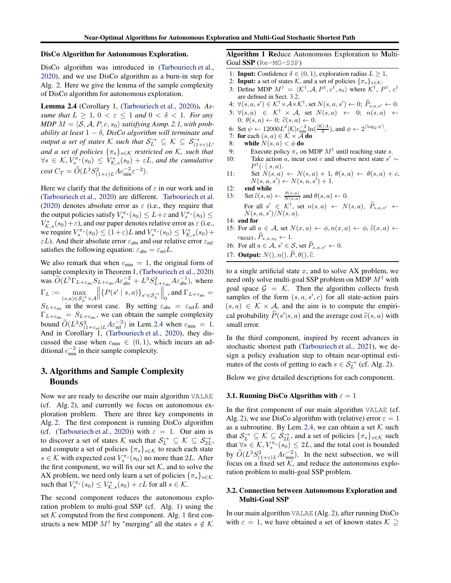#### DisCo Algorithm for Autonomous Exploration.

DisCo algorithm was introduced in [\(Tarbouriech et al.](#page-8-4), [2020\)](#page-8-4), and we use DisCo algorithm as a burn-in step for Alg. [2.](#page-5-0) Here we give the lemma of the sample complexity of DisCo algorithm for autonomous exploration.

<span id="page-4-2"></span>Lemma 2.4 (Corollary 1, [\(Tarbouriech et al.](#page-8-4), [2020](#page-8-4))). *Assume that*  $L \geq 1$ ,  $0 < \varepsilon \leq 1$  *and*  $0 < \delta < 1$ *. For any*  $MDP M = \langle \mathcal{S}, \mathcal{A}, P, c, s_0 \rangle$  *satisfying Asmp.* [2.1,](#page-2-0) with prob*ability at least* 1 − δ*, DisCo algorithm will terminate and output a set of states*  $\mathcal{K}$  *such that*  $\mathcal{S}_L^{\rightarrow} \subseteq \mathcal{K} \subseteq \mathcal{S}_{(1+\varepsilon)L}^{\rightarrow}$ , *and a set of policies*  $\{\pi_s\}_{s \in \mathcal{K}}$  *restricted on* K, such that  $\forall s \in \mathcal{K}, V_{s}^{\pi_s}(s_0) \leq V_{\mathcal{K},s}^*(s_0) + \varepsilon L$ , and the cumulative  $\cot C_T = \widetilde{O}(L^3 S_{(1+\varepsilon)L}^2 A c_{\min}^{-2} \varepsilon^{-2}).$ 

Here we clarify that the definitions of  $\varepsilon$  in our work and in [\(Tarbouriech et al.](#page-8-4), [2020\)](#page-8-4) are different. [Tarbouriech et al.](#page-8-4) [\(2020\)](#page-8-4) denotes absolute error as  $\varepsilon$  (i.e., they require that the output policies satisfy  $V_s^{\pi_s}(s_0) \leq L + \varepsilon$  and  $V_s^{\pi_s}(s_0) \leq$  $V_{\mathcal{K},s}^*(s_0) + \varepsilon$ , and our paper denotes relative error as  $\varepsilon$  (i.e., we require  $V_s^{\pi_s}(s_0) \le (1+\varepsilon)L$  and  $V_s^{\pi_s}(s_0) \le V_{\mathcal{K},s}^*(s_0) +$  $\varepsilon$ L). And their absolute error  $\varepsilon_{\text{abs}}$  and our relative error  $\varepsilon_{\text{rel}}$ satisfies the following equation:  $\varepsilon_{\text{abs}} = \varepsilon_{\text{rel}} L$ .

We also remark that when  $c_{\text{min}} = 1$ , the original form of sample complexity in Theorem 1, [\(Tarbouriech et al.](#page-8-4), [2020\)](#page-8-4) was  $\widetilde{O}(L^5 \Gamma_{L+\varepsilon_{\rm abs}} S_{L+\varepsilon_{\rm abs}} A \varepsilon_{\rm abs}^{-2} + L^3 S_{L+\varepsilon_{\rm abs}}^2 A \varepsilon_{\rm abs}^{-1}),$  where  $\Gamma_L := \max_{(s,a)\in \mathcal{S}_L^{\rightarrow}\times\mathcal{A}}$  $\left\| \{P(s' \mid s,a)\}_{s' \in \mathcal{S}_L^-} \right\|$  $\Big\|_0^{\frac{3}{2}}$ , and  $\Gamma_{L+\varepsilon_{\text{abs}}}$  =  $S_{L+\varepsilon_{\text{abs}}}$  in the worst case. By setting  $\varepsilon_{\text{abs}} = \varepsilon_{\text{rel}}L$  and  $\Gamma_{L+\varepsilon_{\text{abs}}} = S_{L+\varepsilon_{\text{abs}}}$ , we can obtain the sample complexity bound  $\widetilde{O}(L^3 S_{(1+\varepsilon_{\text{rel}})L}^2 A \varepsilon_{\text{rel}}^{-2})$  in Lem. [2.4](#page-4-2) when  $c_{\min} = 1$ . And in Corollary 1, [\(Tarbouriech et al.](#page-8-4), [2020\)](#page-8-4), they discussed the case when  $c_{\min} \in (0, 1)$ , which incurs an additional  $c_{\min}^{-2}$  in their sample complexity.

# <span id="page-4-1"></span>3. Algorithms and Sample Complexity Bounds

Now we are ready to describe our main algorithm VALAE (cf. Alg. [2\)](#page-5-0), and currently we focus on autonomous exploration problem. There are three key components in Alg. [2.](#page-5-0) The first component is running DisCo algorithm (cf. [\(Tarbouriech et al.,](#page-8-4) [2020](#page-8-4))) with  $\varepsilon = 1$ . Our aim is to discover a set of states K such that  $S_L^{\rightarrow} \subseteq K \subseteq S_{2L}^{\rightarrow}$ , and compute a set of policies  $\{\pi_s\}_{s\in\mathcal{K}}$  to reach each state  $s \in \mathcal{K}$  with expected cost  $V_s^{\pi_s}(s_0)$  no more than 2L. After the first component, we will fix our set  $K$ , and to solve the AX problem, we need only learn a set of policies  $\{\pi_s\}_{s\in\mathcal{K}}$ such that  $V_s^{\pi_s}(s_0) \leq V_{\mathcal{K},s}^*(s_0) + \varepsilon L$  for all  $s \in \mathcal{K}$ .

The second component reduces the autonomous exploration problem to multi-goal SSP (cf. Alg. [1\)](#page-4-0) using the set  $K$  computed from the first component. Alg. [1](#page-4-0) first constructs a new MDP  $M^{\dagger}$  by "merging" all the states  $s \notin \mathcal{K}$ 

# <span id="page-4-0"></span>Algorithm 1 Reduce Autonomous Exploration to Multi-Goal SSP (Re-MG-SSP)

- 1: **Input:** Confidence  $\delta \in (0, 1)$ , exploration radius  $L > 1$ ,
- 2: **Input:** a set of states K, and a set of policies  $\{\pi_s\}_{s \in \mathcal{K}}$ .
- 3: Define MDP  $M^{\dagger} = \langle K^{\dagger}, A, P^{\dagger}, c^{\dagger}, s_0 \rangle$  where  $K^{\dagger}$ ,  $P^{\dagger}$ ,  $c^{\dagger}$ are defined in Sect. [3.2.](#page-4-3)
- 4:  $\forall (s, a, s') \in \mathcal{K}^{\dagger} \times \mathcal{A} \times \mathcal{K}^{\dagger}$ , set  $N(s, a, s') \leftarrow 0$ ;  $\hat{P}_{s, a, s'} \leftarrow 0$ .
- $\begin{array}{rcl} \mathsf{5:} \ \forall (s,a) \ \in \ \mathcal{K}^{\dagger} \ \times \ \mathcal{A}, \ \ \mathsf{set} \ \ N(s,a) \ \ \leftarrow \ \ 0; \ \ n(s,a) \ \ \leftarrow \\ \mathsf{0:} \ \ \theta(s,a) \leftarrow \mathsf{0}; \ \ \widehat{c}(s,a) \leftarrow \mathsf{0}. \end{array}$ 0;  $\theta(s, a) \leftarrow 0$ ;  $\hat{c}(s, a) \leftarrow 0$ .
- 6: Set  $\psi \leftarrow 12000L^2 |\mathcal{K}| c_{\min}^{-2} \ln(\frac{|\mathcal{K}|A}{\delta})$ , and  $\phi \leftarrow 2^{\lceil \log_2 \psi \rceil}$ .
- 7: for each  $(s, a) \in K \times \overline{A}$  do<br>8: while  $N(s, a) < \phi$  do
- while  $N(s, a) < \phi$  do
- 9: Execute policy  $\pi_s$  on MDP  $M^{\dagger}$  until reaching state s.
- 10: Take action *a*, incur cost *c* and observe next state  $s' \sim$  $P^{\dagger}(\cdot \mid s, a).$
- 11: Set  $N(s, a) \leftarrow N(s, a) + 1, \theta(s, a) \leftarrow \theta(s, a) + c$ ,  $N(s, a, s') \leftarrow N(s, a, s') + 1.$
- 12: end while
- 13: Set  $\widehat{c}(s, a) \leftarrow \frac{\theta(s, a)}{N(s, a)}$  and  $\theta(s, a) \leftarrow 0$ . For all  $s' \in \mathcal{K}^{\dagger}$ , set  $n(s,a) \leftarrow N(s,a)$ ,  $\widehat{P}_{s,a,s'} \leftarrow$  $N(s, a, s')/N(s, a).$
- 14: end for
- 15: For all  $a \in \mathcal{A}$ , set  $N(x,a) \leftarrow \phi, n(x,a) \leftarrow \phi, \hat{c}(x,a) \leftarrow$  $c_{\text{RESET}}, P_{x,a,s_0} \leftarrow 1.$
- 16: For all  $a \in \mathcal{A}, s' \in \mathcal{S}$ , set  $\widehat{P}_{x,a,s'} \leftarrow 0$ .
- 17: Output:  $N($ ,  $n($ ,  $\widehat{P}, \theta($ ,  $\widehat{c}$ .

to a single artificial state  $x$ , and to solve AX problem, we need only solve multi-goal SSP problem on MDP  $M^{\dagger}$  with goal space  $\mathcal{G} = \mathcal{K}$ . Then the algorithm collects fresh samples of the form  $(s, a, s', c)$  for all state-action pairs  $(s, a) \in \mathcal{K} \times \mathcal{A}$ , and the aim is to compute the empirical probability  $\widehat{P}(s'|s, a)$  and the average cost  $\widehat{c}(s, a)$  with small error.

In the third component, inspired by recent advances in stochastic shortest path [\(Tarbouriech et al.](#page-8-8), [2021](#page-8-8)), we design a policy evaluation step to obtain near-optimal estimates of the costs of getting to each  $s \in S_L^{\rightarrow}$  (cf. Alg. [2\)](#page-5-0).

Below we give detailed descriptions for each component.

#### 3.1. Running DisCo Algorithm with  $\varepsilon = 1$

In the first component of our main algorithm VALAE (cf. Alg. [2\)](#page-5-0), we use DisCo algorithm with (relative) error  $\varepsilon = 1$ as a subroutine. By Lem. [2.4,](#page-4-2) we can obtain a set  $K$  such that  $S_L^{\rightarrow} \subseteq \mathcal{K} \subseteq S_{2L}^{\rightarrow}$ , and a set of policies  $\{\pi_s\}_{s \in \mathcal{K}}$  such that  $\forall s \in \mathcal{K}, V_s^{\pi_s}(s_0) \leq 2L$ , and the total cost is bounded by  $\widetilde{O}(L^3 S_{(1+\varepsilon)L}^2 A c_{\min}^{-2})$ . In the next subsection, we will focus on a fixed set  $K$ , and reduce the autonomous exploration problem to multi-goal SSP problem.

#### <span id="page-4-3"></span>3.2. Connection between Autonomous Exploration and Multi-Goal SSP

In our main algorithm VALAE (Alg. [2\)](#page-5-0), after running DisCo with  $\varepsilon = 1$ , we have obtained a set of known states  $\mathcal{K} \supseteq$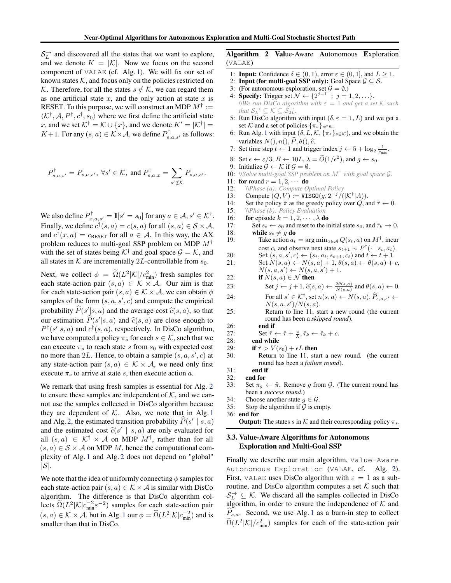$S_L^{\rightarrow}$  and discovered all the states that we want to explore, and we denote  $K = |\mathcal{K}|$ . Now we focus on the second component of VALAE (cf. Alg. [1\)](#page-4-0). We will fix our set of known states  $K$ , and focus only on the policies restricted on K. Therefore, for all the states  $s \notin K$ , we can regard them as one artificial state  $x$ , and the only action at state  $x$  is RESET. To this purpose, we will construct an MDP  $M^{\dagger} :=$  $\langle K^{\dagger}, A, P^{\dagger}, c^{\dagger}, s_0 \rangle$  where we first define the artificial state x, and we set  $K^{\dagger} = \mathcal{K} \cup \{x\}$ , and we denote  $K' = |\mathcal{K}^{\dagger}| =$  $K+1$ . For any  $(s, a) \in K \times \mathcal{A}$ , we define  $P_{s,a,s'}^{\dagger}$  as follows:

$$
P_{s,a,s'}^{\dagger} = P_{s,a,s'}, \ \forall s' \in \mathcal{K}, \text{ and } P_{s,a,x}^{\dagger} = \sum_{s' \notin \mathcal{K}} P_{s,a,s'}.
$$

We also define  $P^{\dagger}_{x,a,s'} = \mathbb{I}[s' = s_0]$  for any  $a \in \mathcal{A}, s' \in \mathcal{K}^{\dagger}$ . Finally, we define  $c^{\dagger}(s, a) = c(s, a)$  for all  $(s, a) \in S \times A$ , and  $c^{\dagger}(x, a) = c_{\text{RESET}}$  for all  $a \in \mathcal{A}$ . In this way, the AX problem reduces to multi-goal SSP problem on MDP  $M^{\dagger}$ with the set of states being  $K^{\dagger}$  and goal space  $\mathcal{G} = \mathcal{K}$ , and all states in  $K$  are incrementally 2L-controllable from  $s_0$ .

Next, we collect  $\phi = \Omega(L^2|\mathcal{K}|/c_{\min}^2)$  fresh samples for each state-action pair  $(s, a) \in \mathcal{K} \times \mathcal{A}$ . Our aim is that for each state-action pair  $(s, a) \in \mathcal{K} \times \mathcal{A}$ , we can obtain  $\phi$ samples of the form  $(s, a, s', c)$  and compute the empirical probability  $\widehat{P}(s'|s, a)$  and the average cost  $\widehat{c}(s, a)$ , so that our estimation  $\widehat{P}(s'|s, a)$  and  $\widehat{c}(s, a)$  are close enough to  $P^{\dagger}(s'|s, a)$  and  $c^{\dagger}(s, a)$ , respectively. In DisCo algorithm, we have computed a policy  $\pi_s$  for each  $s \in \mathcal{K}$ , such that we can execute  $\pi_s$  to reach state s from  $s_0$  with expected cost no more than 2L. Hence, to obtain a sample  $(s, a, s', c)$  at any state-action pair  $(s, a) \in \mathcal{K} \times \mathcal{A}$ , we need only first execute  $\pi_s$  to arrive at state s, then execute action a.

We remark that using fresh samples is essential for Alg. [2](#page-5-0) to ensure these samples are independent of  $K$ , and we cannot use the samples collected in DisCo algorithm because they are dependent of  $K$ . Also, we note that in Alg. [1](#page-4-0) and Alg. [2,](#page-5-0) the estimated transition probability  $\hat{P}(s' | s, a)$ and the estimated cost  $\hat{c}(s' \mid s, a)$  are only evaluated for all  $(s, a) \in \mathcal{K}^{\dagger} \times \mathcal{A}$  on MDP  $M^{\dagger}$ , rather than for all  $(s, a) \in S \times A$  on MDP M, hence the computational complexity of Alg. [1](#page-4-0) and Alg. [2](#page-5-0) does not depend on "global"  $|\mathcal{S}|$ .

We note that the idea of uniformly connecting  $\phi$  samples for each state-action pair  $(s, a) \in K \times A$  is similar with DisCo algorithm. The difference is that DisCo algorithm collects  $\tilde{\Omega}(L^2|\mathcal{K}|c_{\min}^{-2}\varepsilon^{-2})$  samples for each state-action pair  $(s, a) \in \mathcal{K} \times \mathcal{A}$ , but in Alg. [1](#page-4-0) our  $\phi = \tilde{\Omega}(L^2|\mathcal{K}|c_{\min}^{-2})$  and is smaller than that in DisCo.

# <span id="page-5-0"></span>Algorithm 2 Value-Aware Autonomous Exploration (VALAE)

- 1: **Input:** Confidence  $\delta \in (0, 1)$ , error  $\varepsilon \in (0, 1]$ , and  $L > 1$ .
- 2: **Input (for multi-goal SSP only):** Goal Space  $\mathcal{G} \subseteq \mathcal{S}$ .<br>3: (For autonomous exploration, set  $\mathcal{G} = \emptyset$ .)
- 3: (For autonomous exploration, set  $G = \emptyset$ .)<br>4: **Specify:** Trigger set  $\mathcal{N} \leftarrow \{2^{j-1} : j = 1\}$
- 4: **Specify:** Trigger set  $\mathcal{N} \leftarrow \{2^{j-1} : j = 1, 2, ...\}$ .  $\forall$ We run DisCo algorithm with  $\varepsilon = 1$  and get a set K such *that*  $S_L^{\rightarrow} \subseteq K \subseteq S_{2L}^{\rightarrow}$ .
- 5: Run DisCo algorithm with input  $(\delta, \varepsilon = 1, L)$  and we get a set K and a set of policies  $\{\pi_s\}_{s \in \mathcal{K}}$ .
- 6: Run Alg. [1](#page-4-0) with input  $(\delta, L, \mathcal{K}, \{\pi_s\}_{s \in \mathcal{K}})$ , and we obtain the variables  $N($ ,  $n($ ,  $\widehat{P}, \theta$  (),  $\widehat{c}$ .
- 7: Set time step  $t \leftarrow 1$  and trigger index  $j \leftarrow 5 + \log_2 \frac{1}{c_{\min}}$ .
- 8: Set  $\epsilon \leftarrow \varepsilon/3$ ,  $B \leftarrow 10L$ ,  $\lambda = \widetilde{O}(1/\epsilon^2)$ , and  $g \leftarrow s_0$ .
- 9: Initialize  $\mathcal{G} \leftarrow \mathcal{K}$  if  $\mathcal{G} = \emptyset$ .
- 10: \\*Solve multi-goal SSP problem on* <sup>M</sup>† *with goal space* <sup>G</sup>*.*
- 11: **for** round  $r = 1, 2, \cdots$  **do**<br>12: *\\Phase (a): Compute O*
- 12: \\*Phase (a): Compute Optimal Policy*
- 13: Compute  $(Q, V) := \text{VISGO}(g, 2^{-j}/(|\mathcal{K}^{\dagger}|A)).$
- 14: Set the policy  $\tilde{\pi}$  as the greedy policy over Q, and  $\hat{\tau} \leftarrow 0$ .<br>15:  $\Phi(\theta):$  Policy Evaluation
- 15:  $\forall$ *Phase (b): Policy Evaluation*<br>16: **for** episode  $k = 1, 2, \dots, \lambda$  denotes
- 16: **for** episode  $k = 1, 2, \dots, \lambda$  **do**<br>17: **Set**  $s_t \leftarrow s_0$  and reset to the in
- 17: Set  $s_t \leftarrow s_0$  and reset to the initial state  $s_0$ , and  $\hat{\tau}_k \rightarrow 0$ .<br>18: while  $s_t \neq q$  do 18: **while**  $s_t \neq g$  **do**<br>19: Take action  $a_t$
- 19: Take action  $a_t = \arg \min_{a \in \mathcal{A}} Q(s_t, a)$  on  $M^{\dagger}$ , incur cost  $c_t$  and observe next state  $s_{t+1} \sim P^{\dagger}(\cdot \mid s_t, a_t)$ .
- 20: Set  $(s, a, s', c) \leftarrow (s_t, a_t, s_{t+1}, c_t)$  and  $t \leftarrow t + 1$ .
- 21: Set  $N(s, a) \leftarrow N(s, a) + 1, \theta(s, a) \leftarrow \theta(s, a) + c$ ,  $N(s, a, s') \leftarrow N(s, a, s') + 1.$ 
	-
- 22: **if**  $N(s, a) \in \mathcal{N}$  then<br>23: **Set**  $i \leftarrow j+1, \hat{c}(s)$ 23: Set  $j \leftarrow j + 1$ ,  $\hat{c}(s, a) \leftarrow \frac{2\theta(s, a)}{N(s, a)}$  and  $\theta(s, a) \leftarrow 0$ .
- 24: For all  $s' \in \mathcal{K}^{\dagger}$ , set  $n(s, a) \leftarrow N(s, a), \widehat{P}_{s,a,s'} \leftarrow$  $N(s, a, s')/N(s, a).$
- 25: Return to line 11, start a new round (the current round has been a *skipped round*).
- 26: end if

27: Set 
$$
\hat{\tau} \leftarrow \hat{\tau} + \frac{c}{\lambda}, \hat{\tau}_k \leftarrow \hat{\tau}_k + c
$$
.  
28: end while

- 
- 29: **if**  $\hat{\tau} > V(s_0) + \epsilon L$  **then**<br>30: **Return to line 11**, sta
	- Return to line 11, start a new round. (the current round has been a *failure round*).
- $31:$  end if  $32:$  end for
- 32: **end for**<br>33: Set  $\pi_a$
- Set  $\pi_g \leftarrow \tilde{\pi}$ . Remove g from G. (The current round has been a *success round*.)
- 34: Choose another state  $g \in \mathcal{G}$ .<br>35: Stop the algorithm if  $\mathcal{G}$  is en
- Stop the algorithm if  $G$  is empty.

**Output:** The states s in K and their corresponding policy  $\pi_s$ .

## 3.3. Value-Aware Algorithms for Autonomous Exploration and Multi-Goal SSP

Finally we describe our main algorithm, Value-Aware Autonomous Exploration (VALAE, cf. Alg. [2\)](#page-5-0). First, VALAE uses DisCo algorithm with  $\varepsilon = 1$  as a subroutine, and DisCo algorithm computes a set  $K$  such that  $S_L^{\rightarrow} \subseteq \mathcal{K}$ . We discard all the samples collected in DisCo algorithm, in order to ensure the independence of  $K$  and  $P_{s,a}$ . Second, we use Alg. [1](#page-4-0) as a burn-in step to collect  $\tilde{\Omega}(L^2|\mathcal{K}|/c_{\min}^2)$  samples for each of the state-action pair

<sup>36:</sup> end for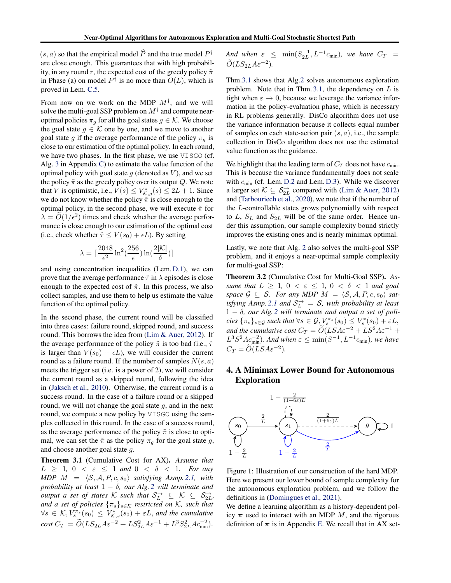$(s, a)$  so that the empirical model  $\widehat{P}$  and the true model  $P^{\dagger}$ are close enough. This guarantees that with high probability, in any round r, the expected cost of the greedy policy  $\tilde{\pi}$ in Phase (a) on model  $P^{\dagger}$  is no more than  $O(L)$ , which is proved in Lem. [C.5.](#page-12-0)

From now on we work on the MDP  $M^{\dagger}$ , and we will solve the multi-goal SSP problem on  $M^{\dagger}$  and compute nearoptimal policies  $\pi_g$  for all the goal states  $g \in \mathcal{K}$ . We choose the goal state  $g \in \mathcal{K}$  one by one, and we move to another goal state g if the average performance of the policy  $\pi_q$  is close to our estimation of the optimal policy. In each round, we have two phases. In the first phase, we use VISGO (cf. Alg. [3](#page-11-0) in Appendix [C\)](#page-10-0) to estimate the value function of the optimal policy with goal state  $q$  (denoted as  $V$ ), and we set the policy  $\tilde{\pi}$  as the greedy policy over its output Q. We note that V is optimistic, i.e.,  $V(s) \leq V_{K,g}^*(s) \leq 2L + 1$ . Since we do not know whether the policy  $\tilde{\pi}$  is close enough to the optimal policy, in the second phase, we will execute  $\tilde{\pi}$  for  $\lambda = O(1/\epsilon^2)$  times and check whether the average performance is close enough to our estimation of the optimal cost (i.e., check whether  $\hat{\tau} \le V(s_0) + \epsilon L$ ). By setting

$$
\lambda = \lceil \frac{2048}{\epsilon^2} \ln^2(\frac{256}{\epsilon}) \ln(\frac{2|\mathcal{K}|}{\delta}) \rceil
$$

and using concentration inequalities (Lem. [D.1\)](#page-16-0), we can prove that the average performance  $\hat{\tau}$  in  $\lambda$  episodes is close enough to the expected cost of  $\tilde{\pi}$ . In this process, we also collect samples, and use them to help us estimate the value function of the optimal policy.

In the second phase, the current round will be classified into three cases: failure round, skipped round, and success round. This borrows the idea from [\(Lim & Auer,](#page-8-0) [2012\)](#page-8-0). If the average performance of the policy  $\tilde{\pi}$  is too bad (i.e.,  $\hat{\tau}$ ) is larger than  $V(s_0) + \epsilon L$ , we will consider the current round as a failure round. If the number of samples  $N(s, a)$ meets the trigger set (i.e. is a power of 2), we will consider the current round as a skipped round, following the idea in [\(Jaksch et al.](#page-8-10), [2010\)](#page-8-10). Otherwise, the current round is a success round. In the case of a failure round or a skipped round, we will not change the goal state  $q$ , and in the next round, we compute a new policy by VISGO using the samples collected in this round. In the case of a success round, as the average performance of the policy  $\tilde{\pi}$  is close to optimal, we can set the  $\tilde{\pi}$  as the policy  $\pi_q$  for the goal state g, and choose another goal state g.

<span id="page-6-0"></span>Theorem 3.1 (Cumulative Cost for AX). *Assume that*  $L \geq 1, 0 \leq \varepsilon \leq 1 \text{ and } 0 \leq \delta \leq 1.$  For any  $MDP \ M = \langle \mathcal{S}, \mathcal{A}, P, c, s_0 \rangle$  *satisfying Asmp.* [2.1,](#page-2-0) *with probability at least*  $1 - \delta$ *, our Alg.* [2](#page-5-0) *will terminate and output a set of states*  $K$  *such that*  $S_L^{\rightarrow} \subseteq K \subseteq S_{2L}^{\rightarrow}$ , *and a set of policies*  $\{\pi_s\}_{s \in \mathcal{K}}$  *restricted on* K, *such that*  $\forall s \in \mathcal{K}, V^{\pi_s}_{s}(s_0) \leq V^*_{\mathcal{K},s}(s_0) + \varepsilon L$ , and the cumulative  $\cos t C_T = \widetilde{O}(L S_{2L} A \varepsilon^{-2} + L S_{2L}^2 A \varepsilon^{-1} + L^3 S_{2L}^2 A c_{\min}^{-2}).$ 

And when  $\varepsilon \leq \min(S_{2L}^{-1}, L^{-1}c_{\min})$ *, we have*  $C_T =$  $\tilde{O}(LS_{2L}A\varepsilon^{-2}).$ 

Thm[.3.1](#page-6-0) shows that Alg[.2](#page-5-0) solves autonomous exploration problem. Note that in Thm. [3.1,](#page-6-0) the dependency on  $L$  is tight when  $\varepsilon \to 0$ , because we leverage the variance information in the policy-evaluation phase, which is necessary in RL problems generally. DisCo algorithm does not use the variance information because it collects equal number of samples on each state-action pair  $(s, a)$ , i.e., the sample collection in DisCo algorithm does not use the estimated value function as the guidance.

We highlight that the leading term of  $C_T$  does not have  $c_{\text{min}}$ . This is because the variance fundamentally does not scale with  $c_{\text{min}}$  (cf. Lem. [D.2](#page-17-1) and Lem. [D.3\)](#page-17-0). While we discover a larger set  $\mathcal{K} \subseteq \mathcal{S}_{2L}^{\rightarrow}$  compared with [\(Lim & Auer](#page-8-0), [2012\)](#page-8-0) and [\(Tarbouriech et al.,](#page-8-4) [2020](#page-8-4)), we note that if the number of the L-controllable states grows polynomially with respect to  $L$ ,  $S_L$  and  $S_{2L}$  will be of the same order. Hence under this assumption, our sample complexity bound strictly improves the existing ones and is nearly minimax optimal.

Lastly, we note that Alg. [2](#page-5-0) also solves the multi-goal SSP problem, and it enjoys a near-optimal sample complexity for multi-goal SSP:

Theorem 3.2 (Cumulative Cost for Multi-Goal SSP). *Assume that*  $L \geq 1, 0 < \varepsilon \leq 1, 0 < \delta < 1$  *and goal space*  $G \subseteq S$ *. For any MDP*  $M = \langle S, A, P, c, s_0 \rangle$  *satisfying Asmp.* [2.1](#page-2-0) *and*  $S_L^{\rightarrow} = S$ , *with probability at least* 1 − δ*, our Alg. [2](#page-5-0) will terminate and output a set of policies*  $\{\pi_s\}_{s\in\mathcal{G}}$  *such that*  $\forall s \in \mathcal{G}, \underset{s}{V}^{\pi_s}(s_0) \leq V^*_s(s_0) + \varepsilon L$ , *and the cumulative cost*  $C_T = \widetilde{O}(LSA\varepsilon^{-2} + LS^2A\varepsilon^{-1} +$  $L^3S^2Ac_{\text{min}}^{-2}$ ). And when  $\varepsilon \leq \min(S^{-1},L^{-1}c_{\text{min}})$ , we have  $C_T = \tilde{O}(LSA\varepsilon^{-2}).$ 

# 4. A Minimax Lower Bound for Autonomous Exploration



<span id="page-6-1"></span>Figure 1: Illustration of our construction of the hard MDP. Here we present our lower bound of sample complexity for the autonomous exploration problem, and we follow the definitions in [\(Domingues et al.](#page-8-11), [2021\)](#page-8-11).

We define a learning algorithm as a history-dependent policy  $\pi$  used to interact with an MDP M, and the rigorous definition of  $\pi$  is in Appendix [E.](#page-18-0) We recall that in AX set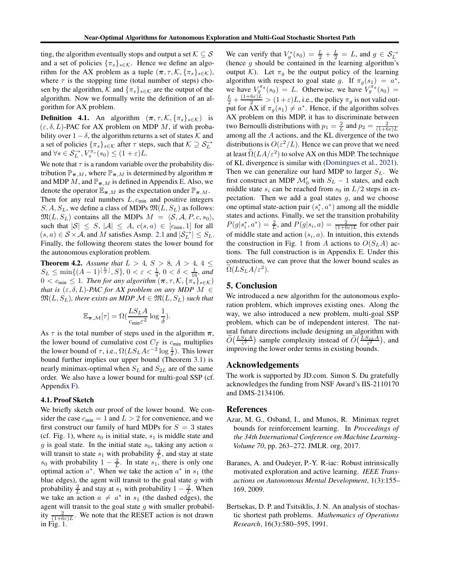ting, the algorithm eventually stops and output a set  $K \subseteq S$ and a set of policies  $\{\pi_s\}_{s\in\mathcal{K}}$ . Hence we define an algorithm for the AX problem as a tuple  $(\pi, \tau, \mathcal{K}, {\{\pi_s\}_{s \in \mathcal{K}}})$ , where  $\tau$  is the stopping time (total number of steps) chosen by the algorithm, K and  $\{\pi_s\}_{s\in\mathcal{K}}$  are the output of the algorithm. Now we formally write the definition of an algorithm for AX problem.

**Definition 4.1.** An algorithm  $(\pi, \tau, \mathcal{K}, {\{\pi_s\}_{s \in \mathcal{K}}})$  is  $(\varepsilon, \delta, L)$ -PAC for AX problem on MDP M, if with probability over  $1 - \delta$ , the algorithm returns a set of states K and a set of policies  $\{\pi_s\}_{s \in \mathcal{K}}$  after  $\tau$  steps, such that  $\mathcal{K} \supseteq \mathcal{S}_L^{\rightarrow}$ and  $\forall s \in \mathcal{S}_L^{\rightarrow}, V_s^{\pi_s}(s_0) \leq (1+\varepsilon)L$ .

We note that  $\tau$  is a random variable over the probability distribution  $\mathbb{P}_{\pi,M}$ , where  $\mathbb{P}_{\pi,M}$  is determined by algorithm  $\pi$ and MDP M, and  $\mathbb{P}_{\pi,M}$  is defined in Appendix [E.](#page-18-0) Also, we denote the operator  $\mathbb{E}_{\pi,M}$  as the expectation under  $\mathbb{P}_{\pi,M}$ . Then for any real numbers  $L$ ,  $c_{\min}$  and positive integers  $S, A, S_L$ , we define a class of MDPs  $\mathfrak{M}(L, S_L)$  as follows:  $\mathfrak{M}(L, S_L)$  contains all the MDPs  $M = \langle \mathcal{S}, \mathcal{A}, P, c, s_0 \rangle$ , such that  $|S| \leq S$ ,  $|A| \leq A$ ,  $c(s, a) \in [c_{\min}, 1]$  for all  $(s, a) \in S \times A$ , and M satisfies Asmp. [2.1](#page-2-0) and  $|S_L^{\rightarrow}| \leq S_L$ . Finally, the following theorem states the lower bound for the autonomous exploration problem.

<span id="page-7-3"></span>**Theorem 4.2.** *Assume that*  $L > 4$ ,  $S > 8$ ,  $A > 4$ ,  $4 \leq$  $S_L \leq \min\{(A-1)^{\lfloor \frac{L}{2} \rfloor}, S\}, 0 < \varepsilon < \frac{1}{4}, 0 < \delta < \frac{1}{16}$ , and  $0 < c_{\min} \leq 1$ . Then for any algorithm  $(\pi, \tau, \mathcal{K}, {\{\pi_s\}_{s \in \mathcal{K}}})$ *that is*  $(\varepsilon, \delta, L)$ *-PAC for AX problem on any MDP M*  $\in$  $\mathfrak{M}(L, S_L)$ , there exists an MDP  $\mathcal{M} \in \mathfrak{M}(L, S_L)$  such that

$$
\mathbb{E}_{\pi,\mathcal{M}}[\tau] = \Omega(\frac{L S_L A}{c_{\min} \varepsilon^2} \log \frac{1}{\delta}).
$$

As  $\tau$  is the total number of steps used in the algorithm  $\pi$ , the lower bound of cumulative cost  $C_T$  is  $c_{\min}$  multiplies the lower bound of  $\tau$ , i.e.,  $\Omega(LS_L A \varepsilon^{-2} \log \frac{1}{\delta})$ . This lower bound further implies our upper bound (Theorem [3.1\)](#page-6-0) is nearly minimax-optimal when  $S_L$  and  $S_{2L}$  are of the same order. We also have a lower bound for multi-goal SSP (cf. Appendix [F\)](#page-22-0).

## 4.1. Proof Sketch

We briefly sketch our proof of the lower bound. We consider the case  $c_{\min} = 1$  and  $L > 2$  for convenience, and we first construct our family of hard MDPs for  $S = 3$  states (cf. Fig. [1\)](#page-6-1), where  $s_0$  is initial state,  $s_1$  is middle state and  $g$  is goal state. In the initial state  $s_0$ , taking any action  $a$ will transit to state  $s_1$  with probability  $\frac{2}{L}$ , and stay at state  $s_0$  with probability  $1 - \frac{2}{L}$ . In state  $s_1$ , there is only one optimal action  $a^*$ . When we take the action  $a^*$  in  $s_1$  (the blue edges), the agent will transit to the goal state  $g$  with probability  $\frac{2}{L}$  and stay at s<sub>1</sub> with probability  $1 - \frac{2}{L}$ . When we take an action  $a \neq a^*$  in  $s_1$  (the dashed edges), the agent will transit to the goal state  $g$  with smaller probability  $\frac{2}{(1+6\varepsilon)L}$ . We note that the RESET action is not drawn in Fig. [1.](#page-6-1)

We can verify that  $V_g^*(s_0) = \frac{L}{2} + \frac{L}{2} = L$ , and  $g \in S_L^{\rightarrow}$  (hence g should be contained in the learning algorithm's output K). Let  $\pi_g$  be the output policy of the learning algorithm with respect to goal state g. If  $\pi_g(s_1) = a^*$ , we have  $V_g^{\pi_g}(s_0) = L$ . Otherwise, we have  $V_g^{\pi_g}(s_0) =$  $\frac{L}{2} + \frac{(1+6\varepsilon)L}{2} > (1+\varepsilon)L$ , i.e., the policy  $\pi_g$  is not valid output for AX if  $\pi_g(s_1) \neq a^*$ . Hence, if the algorithm solves AX problem on this MDP, it has to discriminate between two Bernoulli distributions with  $p_1 = \frac{2}{L}$  and  $p_2 = \frac{2}{(1+6\varepsilon)L}$ among all the A actions, and the KL divergence of the two distributions is  $O(\varepsilon^2/L)$ . Hence we can prove that we need at least  $\Omega(LA/\varepsilon^2)$  to solve AX on this MDP. The technique of KL divergence is similar with [\(Domingues et al.](#page-8-11), [2021](#page-8-11)). Then we can generalize our hard MDP to larger  $S_L$ . We first construct an MDP  $\mathcal{M}'_0$  with  $S_L - 1$  states, and each middle state  $s_i$  can be reached from  $s_0$  in  $L/2$  steps in expectation. Then we add a goal states  $g$ , and we choose one optimal state-action pair  $(s_i^*, a^*)$  among all the middle states and actions. Finally, we set the transition probability  $P(g|s_i^*, a^*) = \frac{2}{L}$ , and  $P(g|s_i, a) = \frac{2}{(1+6\varepsilon)L}$  for other pair of middle state and action  $(s_i, a)$ . In intuition, this extends the construction in Fig. [1](#page-6-1) from A actions to  $O(S<sub>L</sub>A)$  actions. The full construction is in Appendix [E.](#page-18-0) Under this construction, we can prove that the lower bound scales as  $\widetilde{\Omega}(LS_{L}A/\varepsilon^{2}).$ 

# 5. Conclusion

We introduced a new algorithm for the autonomous exploration problem, which improves existing ones. Along the way, we also introduced a new problem, multi-goal SSP problem, which can be of independent interest. The natural future directions include designing an algorithm with  $\widetilde{O}\left(\frac{LS_L A}{\varepsilon^2}\right)$  sample complexity instead of  $\widetilde{O}\left(\frac{LS_{2L} A}{\varepsilon^2}\right)$ , and improving the lower order terms in existing bounds.

# Acknowledgements

The work is supported by JD.com. Simon S. Du gratefully acknowledges the funding from NSF Award's IIS-2110170 and DMS-2134106.

#### References

- <span id="page-7-1"></span>Azar, M. G., Osband, I., and Munos, R. Minimax regret bounds for reinforcement learning. In *Proceedings of the 34th International Conference on Machine Learning-Volume 70*, pp. 263–272. JMLR. org, 2017.
- <span id="page-7-0"></span>Baranes, A. and Oudeyer, P.-Y. R-iac: Robust intrinsically motivated exploration and active learning. *IEEE Transactions on Autonomous Mental Development*, 1(3):155– 169, 2009.
- <span id="page-7-2"></span>Bertsekas, D. P. and Tsitsiklis, J. N. An analysis of stochastic shortest path problems. *Mathematics of Operations Research*, 16(3):580–595, 1991.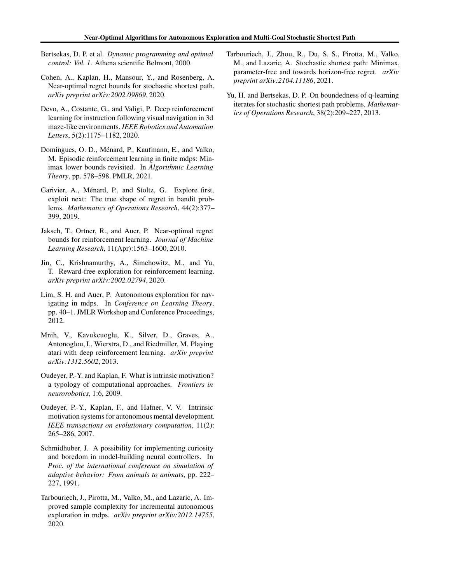- <span id="page-8-5"></span>Bertsekas, D. P. et al. *Dynamic programming and optimal control: Vol. 1*. Athena scientific Belmont, 2000.
- <span id="page-8-13"></span>Cohen, A., Kaplan, H., Mansour, Y., and Rosenberg, A. Near-optimal regret bounds for stochastic shortest path. *arXiv preprint arXiv:2002.09869*, 2020.
- <span id="page-8-6"></span>Devo, A., Costante, G., and Valigi, P. Deep reinforcement learning for instruction following visual navigation in 3d maze-like environments. *IEEE Robotics and Automation Letters*, 5(2):1175–1182, 2020.
- <span id="page-8-11"></span>Domingues, O. D., Ménard, P., Kaufmann, E., and Valko, M. Episodic reinforcement learning in finite mdps: Minimax lower bounds revisited. In *Algorithmic Learning Theory*, pp. 578–598. PMLR, 2021.
- <span id="page-8-14"></span>Garivier, A., Ménard, P., and Stoltz, G. Explore first, exploit next: The true shape of regret in bandit problems. *Mathematics of Operations Research*, 44(2):377– 399, 2019.
- <span id="page-8-10"></span>Jaksch, T., Ortner, R., and Auer, P. Near-optimal regret bounds for reinforcement learning. *Journal of Machine Learning Research*, 11(Apr):1563–1600, 2010.
- <span id="page-8-9"></span>Jin, C., Krishnamurthy, A., Simchowitz, M., and Yu, T. Reward-free exploration for reinforcement learning. *arXiv preprint arXiv:2002.02794*, 2020.
- <span id="page-8-0"></span>Lim, S. H. and Auer, P. Autonomous exploration for navigating in mdps. In *Conference on Learning Theory*, pp. 40–1. JMLR Workshop and Conference Proceedings, 2012.
- <span id="page-8-7"></span>Mnih, V., Kavukcuoglu, K., Silver, D., Graves, A., Antonoglou, I., Wierstra, D., and Riedmiller, M. Playing atari with deep reinforcement learning. *arXiv preprint arXiv:1312.5602*, 2013.
- <span id="page-8-3"></span>Oudeyer, P.-Y. and Kaplan, F. What is intrinsic motivation? a typology of computational approaches. *Frontiers in neurorobotics*, 1:6, 2009.
- <span id="page-8-2"></span>Oudeyer, P.-Y., Kaplan, F., and Hafner, V. V. Intrinsic motivation systems for autonomous mental development. *IEEE transactions on evolutionary computation*, 11(2): 265–286, 2007.
- <span id="page-8-1"></span>Schmidhuber, J. A possibility for implementing curiosity and boredom in model-building neural controllers. In *Proc. of the international conference on simulation of adaptive behavior: From animals to animats*, pp. 222– 227, 1991.
- <span id="page-8-4"></span>Tarbouriech, J., Pirotta, M., Valko, M., and Lazaric, A. Improved sample complexity for incremental autonomous exploration in mdps. *arXiv preprint arXiv:2012.14755*, 2020.
- <span id="page-8-8"></span>Tarbouriech, J., Zhou, R., Du, S. S., Pirotta, M., Valko, M., and Lazaric, A. Stochastic shortest path: Minimax, parameter-free and towards horizon-free regret. *arXiv preprint arXiv:2104.11186*, 2021.
- <span id="page-8-12"></span>Yu, H. and Bertsekas, D. P. On boundedness of q-learning iterates for stochastic shortest path problems. *Mathematics of Operations Research*, 38(2):209–227, 2013.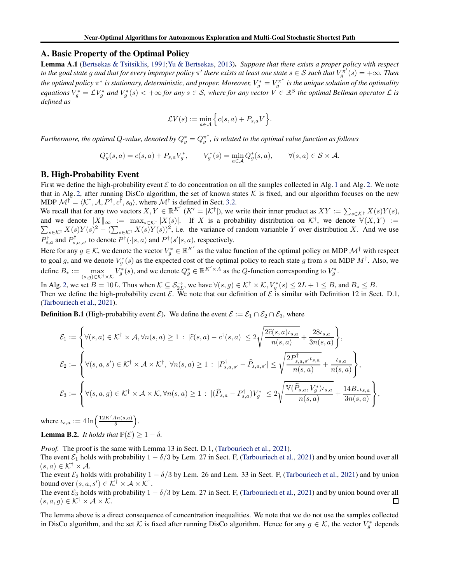#### <span id="page-9-0"></span>A. Basic Property of the Optimal Policy

Lemma A.1 [\(Bertsekas & Tsitsiklis,](#page-7-2) [1991](#page-7-2)[;Yu & Bertsekas](#page-8-12), [2013\)](#page-8-12). *Suppose that there exists a proper policy with respect to the goal state g and that for every improper policy*  $\pi'$  *there exists at least one state*  $s \in S$  *such that*  $V_g^{\pi'}(s) = +\infty$ *. Then* the optimal policy  $\pi^*$  is stationary, deterministic, and proper. Moreover,  $V_g^* = V_g^{\pi^*}$  is the unique solution of the optimality equations  $V_g^* = LV_g^*$  and  $V_g^*(s) < +\infty$  for any  $s \in S$ , where for any vector  $V \in \mathbb{R}^S$  the optimal Bellman operator  $\mathcal L$  is *defined as*

$$
\mathcal{L}V(s) := \min_{a \in \mathcal{A}} \Big\{ c(s, a) + P_{s,a}V \Big\}.
$$

*Furthermore, the optimal Q-value, denoted by*  $Q_g^* = Q_g^{\pi^*}$ *, is related to the optimal value function as follows* 

$$
Q_g^*(s, a) = c(s, a) + P_{s,a}V_g^*, \qquad V_g^*(s) = \min_{a \in \mathcal{A}} Q_g^*(s, a), \qquad \forall (s, a) \in \mathcal{S} \times \mathcal{A}.
$$

#### B. High-Probability Event

First we define the high-probability event  $\mathcal E$  to do concentration on all the samples collected in Alg. [1](#page-4-0) and Alg. [2.](#page-5-0) We note that in Alg. [2,](#page-5-0) after running DisCo algorithm, the set of known states  $K$  is fixed, and our algorithm focuses on the new MDP  $\mathcal{M}^{\dagger} = \langle \mathcal{K}^{\dagger}, \mathcal{A}, P^{\dagger}, c^{\dagger}, s_0 \rangle$ , where  $\mathcal{M}^{\dagger}$  is defined in Sect. [3.2.](#page-4-3)

We recall that for any two vectors  $X, Y \in \mathbb{R}^{K'}$   $(K' = |\mathcal{K}^{\dagger}|)$ , we write their inner product as  $XY := \sum_{s \in \mathcal{K}^{\dagger}} X(s)Y(s)$ , and we denote  $||X||_{\infty} := \max_{s \in \mathcal{K}^{\dagger}} |X(s)|$ . If X is a probability distribution on  $\mathcal{K}^{\dagger}$ <br> $\sum_{s \in \mathcal{K}^{\dagger}} X(s)Y(s)^2 - (\sum_{s \in \mathcal{K}^{\dagger}} X(s)Y(s))^2$ , i.e. the variance of random varianble Y over d , we denote  $\mathbb{V}(X, Y) :=$  $s \in K^{\dagger} X(s) Y(s)^2 - (\sum_{s \in K^{\dagger}} X(s) Y(s))^2$ , i.e. the variance of random varianble Y over distribution X. And we use  $P_{s,a}^{\dagger}$  and  $P_{s,a,s'}^{\dagger}$  to denote  $P^{\dagger}(\cdot|s,a)$  and  $P^{\dagger}(s'|s,a)$ , respectively.

Here for any  $g \in \mathcal{K}$ , we denote the vector  $V_g^* \in \mathbb{R}^{K'}$  as the value function of the optimal policy on MDP  $\mathcal{M}^\dagger$  with respect to goal g, and we denote  $V_g^*(s)$  as the expected cost of the optimal policy to reach state g from s on MDP  $M^{\dagger}$ . Also, we define  $B_* := \max_{(s,g)\in \mathcal{K}^+\times\mathcal{K}} V_g^*(s)$ , and we denote  $Q_g^* \in \mathbb{R}^{K'\times A}$  as the Q-function corresponding to  $V_g^*$ .

In Alg. [2,](#page-5-0) we set  $B = 10L$ . Thus when  $K \subseteq S_{2L}^{\rightarrow}$ , we have  $\forall (s, g) \in K^{\dagger} \times K$ ,  $V_g^*(s) \le 2L + 1 \le B$ , and  $B_* \le B$ . Then we define the high-probability event  $\mathcal E$ . We note that our definition of  $\mathcal E$  is similar with Definition 12 in Sect. D.1, [\(Tarbouriech et al.](#page-8-8), [2021](#page-8-8)).

<span id="page-9-1"></span>**Definition B.1** (High-probability event  $\mathcal{E}$ ). We define the event  $\mathcal{E} := \mathcal{E}_1 \cap \mathcal{E}_2 \cap \mathcal{E}_3$ , where

$$
\mathcal{E}_1 := \begin{cases} \forall (s,a) \in \mathcal{K}^\dagger \times \mathcal{A}, \forall n(s,a) \geq 1 \; : \; |\hat{c}(s,a) - c^\dagger(s,a)| \leq 2\sqrt{\frac{2\hat{c}(s,a)\iota_{s,a}}{n(s,a)}} + \frac{28\iota_{s,a}}{3n(s,a)} \end{cases},
$$
\n
$$
\mathcal{E}_2 := \begin{cases} \forall (s,a,s') \in \mathcal{K}^\dagger \times \mathcal{A} \times \mathcal{K}^\dagger, \forall n(s,a) \geq 1 \; : \; |P^\dagger_{s,a,s'} - \hat{P}_{s,a,s'}| \leq \sqrt{\frac{2P^\dagger_{s,a,s'}\iota_{s,a}}{n(s,a)} + \frac{\iota_{s,a}}{n(s,a)}} \end{cases},
$$
\n
$$
\mathcal{E}_3 := \begin{cases} \forall (s,a,g) \in \mathcal{K}^\dagger \times \mathcal{A} \times \mathcal{K}, \forall n(s,a) \geq 1 \; : \; |(\hat{P}_{s,a} - P^\dagger_{s,a})V_g^*| \leq 2\sqrt{\frac{\mathbb{V}(\hat{P}_{s,a},V_g^*)\iota_{s,a}}{n(s,a)} + \frac{14B_*\iota_{s,a}}{3n(s,a)}} \end{cases},
$$

where  $\iota_{s,a} := 4 \ln \left( \frac{12K'An(s,a)}{\delta} \right)$ δ .

**Lemma B.2.** *It holds that*  $\mathbb{P}(\mathcal{E}) \geq 1 - \delta$ .

*Proof.* The proof is the same with Lemma 13 in Sect. D.1, [\(Tarbouriech et al.](#page-8-8), [2021](#page-8-8)).

The event  $\mathcal{E}_1$  holds with probability  $1 - \delta/3$  by Lem. 27 in Sect. F, [\(Tarbouriech et al.,](#page-8-8) [2021\)](#page-8-8) and by union bound over all  $(s, a) \in \mathcal{K}^{\dagger} \times \mathcal{A}.$ 

The event  $\mathcal{E}_2$  holds with probability  $1 - \delta/3$  by Lem. 26 and Lem. 33 in Sect. F, [\(Tarbouriech et al.,](#page-8-8) [2021\)](#page-8-8) and by union bound over  $(s, a, s') \in \mathcal{K}^{\dagger} \times \mathcal{A} \times \mathcal{K}^{\dagger}$ .

The event  $\mathcal{E}_3$  holds with probability  $1 - \delta/3$  by Lem. 27 in Sect. F, [\(Tarbouriech et al.,](#page-8-8) [2021\)](#page-8-8) and by union bound over all  $(s, a, q) \in \mathcal{K}^{\dagger} \times \mathcal{A} \times \mathcal{K}$ .  $(s, a, g) \in \mathcal{K}^{\dagger} \times \mathcal{A} \times \mathcal{K}.$ 

The lemma above is a direct consequence of concentration inequalities. We note that we do not use the samples collected in DisCo algorithm, and the set K is fixed after running DisCo algorithm. Hence for any  $g \in K$ , the vector  $V_g^*$  depends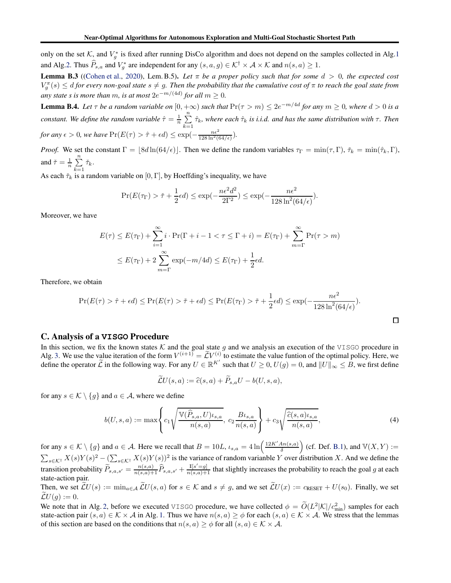only on the set  $K$ , and  $V_g^*$  is fixed after running DisCo algorithm and does not depend on the samples collected in Alg[.1](#page-4-0) and Alg[.2.](#page-5-0) Thus  $\hat{P}_{s,a}$  and  $V_g^*$  are independent for any  $(s,a,g) \in \mathcal{K}^{\dagger} \times \mathcal{A} \times \mathcal{K}$  and  $n(s,a) \geq 1$ .

<span id="page-10-3"></span>**Lemma B.3** ([\(Cohen et al.](#page-8-13), [2020\)](#page-8-13), Lem. B.5). Let  $\pi$  be a proper policy such that for some  $d > 0$ , the expected cost  $V_g^{\pi}(s) \leq d$  for every non-goal state  $s \neq g$ . Then the probability that the cumulative cost of  $\pi$  to reach the goal state from *any state s is more than m, is at most*  $2e^{-m/(4d)}$  *for all*  $m \ge 0$ *.* 

<span id="page-10-2"></span>**Lemma B.4.** Let  $\tau$  be a random variable on  $[0, +\infty)$  such that  $Pr(\tau > m) \leq 2e^{-m/4d}$  for any  $m \geq 0$ , where  $d > 0$  is a *constant. We define the random variable*  $\hat{\tau} = \frac{1}{n} \sum_{i=1}^{n} \hat{\tau}_k$ , where each  $\hat{\tau}_k$  is *i.i.d. and has the same distribution with*  $\tau$ . Then  $k=1$ *for any*  $\epsilon > 0$ *, we have*  $Pr(E(\tau) > \hat{\tau} + \epsilon d) \leq \exp(-\frac{n\epsilon^2}{128 \ln^2(64/\epsilon)})$ *.* 

*Proof.* We set the constant  $\Gamma = \lfloor 8d \ln(64/\epsilon) \rfloor$ . Then we define the random variables  $\tau_{\Gamma} = \min(\tau, \Gamma)$ ,  $\check{\tau}_k = \min(\hat{\tau}_k, \Gamma)$ , and  $\check{\tau} = \frac{1}{n} \sum_{n=1}^{n}$  $\sum_{k=1}$   $\check{\tau}_k$ .

As each  $\check{\tau}_k$  is a random variable on [0, Γ], by Hoeffding's inequality, we have

$$
\Pr(E(\tau_{\Gamma}) > \check{\tau} + \frac{1}{2}\epsilon d) \le \exp(-\frac{n\epsilon^2 d^2}{2\Gamma^2}) \le \exp(-\frac{n\epsilon^2}{128 \ln^2(64/\epsilon)}).
$$

Moreover, we have

$$
E(\tau) \le E(\tau_{\Gamma}) + \sum_{i=1}^{\infty} i \cdot \Pr(\Gamma + i - 1 < \tau \le \Gamma + i) = E(\tau_{\Gamma}) + \sum_{m=\Gamma}^{\infty} \Pr(\tau > m)
$$
\n
$$
\le E(\tau_{\Gamma}) + 2 \sum_{m=\Gamma}^{\infty} \exp(-m/4d) \le E(\tau_{\Gamma}) + \frac{1}{2} \epsilon d.
$$

Therefore, we obtain

$$
\Pr(E(\tau) > \hat{\tau} + \epsilon d) \le \Pr(E(\tau) > \check{\tau} + \epsilon d) \le \Pr(E(\tau_{\Gamma}) > \check{\tau} + \frac{1}{2}\epsilon d) \le \exp(-\frac{n\epsilon^2}{128\ln^2(64/\epsilon)}).
$$

 $\Box$ 

# <span id="page-10-0"></span>C. Analysis of a **VISGO** Procedure

In this section, we fix the known states K and the goal state g and we analysis an execution of the VISGO procedure in Alg. [3.](#page-11-0) We use the value iteration of the form  $V^{(i+1)} = \mathcal{L} V^{(i)}$  to estimate the value funtion of the optimal policy. Here, we define the operator  $\widetilde{\mathcal{L}}$  in the following way. For any  $U \in \mathbb{R}^{K'}$  such that  $U \ge 0$ ,  $U(g) = 0$ , and  $||U||_{\infty} \le B$ , we first define

$$
\mathcal{L}U(s,a) := \widehat{c}(s,a) + P_{s,a}U - b(U,s,a),
$$

for any  $s \in \mathcal{K} \setminus \{g\}$  and  $a \in \mathcal{A}$ , where we define

<span id="page-10-1"></span>
$$
b(U,s,a) := \max\left\{c_1\sqrt{\frac{\mathbb{V}(\widehat{P}_{s,a}, U)\iota_{s,a}}{n(s,a)}}, c_2\frac{B\iota_{s,a}}{n(s,a)}\right\} + c_3\sqrt{\frac{\widehat{c}(s,a)\iota_{s,a}}{n(s,a)}},\tag{4}
$$

for any  $s \in \mathcal{K} \setminus \{g\}$  and  $a \in \mathcal{A}$ . Here we recall that  $B = 10L$ ,  $\iota_{s,a} = 4 \ln \left( \frac{12K'An(s,a)}{\delta} \right)$ δ (cf. Def. [B.1\)](#page-9-1), and  $V(X, Y) :=$  $\sum_{s \in \mathcal{K}^{\dagger}} X(s)Y(s)^2 - (\sum_{s \in \mathcal{K}^{\dagger}} X(s)Y(s))^2$  is the variance of random varianble Y over distribution X. And we define the transition probability  $\widetilde{P}_{s,a,s'} = \frac{n(s,a)}{n(s,a)+1} \widehat{P}_{s,a,s'} + \frac{\mathbb{I}[s'=g]}{n(s,a)+1}$  that slightly increases the probability to reach the goal g at each state-action pair.

Then, we set  $\widetilde{\mathcal{L}}U(s) := \min_{a \in \mathcal{A}} \widetilde{\mathcal{L}}U(s, a)$  for  $s \in \mathcal{K}$  and  $s \neq g$ , and we set  $\widetilde{\mathcal{L}}U(x) := c_{\text{RESET}} + U(s_0)$ . Finally, we set  $\mathcal{L}U(q) := 0.$ 

We note that in Alg. [2,](#page-5-0) before we executed VISGO procedure, we have collected  $\phi = O(L^2|\mathcal{K}|/c_{\min}^2)$  samples for each state-action pair  $(s, a) \in K \times A$  in Alg. [1.](#page-4-0) Thus we have  $n(s, a) \ge \phi$  for each  $(s, a) \in K \times A$ . We stress that the lemmas of this section are based on the conditions that  $n(s, a) \ge \phi$  for all  $(s, a) \in \mathcal{K} \times \mathcal{A}$ .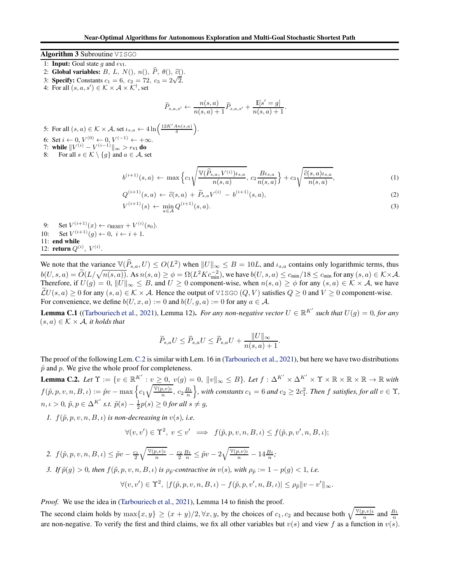## <span id="page-11-0"></span>Algorithm 3 Subroutine VISGO

- 1: **Input:** Goal state g and  $\epsilon_{VI}$ .
- 2: Global variables:  $B, L, N($ ,  $n($ ,  $\widehat{P}, \theta($ ,  $\widehat{c}($ ).
- 3: **Specify:** Constants  $c_1 = 6$ ,  $c_2 = 72$ ,  $c_3 = 2\sqrt{2}$ .
- 4: For all  $(s, a, s') \in K \times \mathcal{A} \times \mathcal{K}^{\dagger}$ , set

$$
\widetilde{P}_{s,a,s'} \leftarrow \frac{n(s,a)}{n(s,a)+1}\widehat{P}_{s,a,s'} + \frac{\mathbb{I}[s'=g]}{n(s,a)+1}.
$$

5: For all  $(s, a) \in \mathcal{K} \times \mathcal{A}$ , set  $\iota_{s,a} \leftarrow 4 \ln \left( \frac{12K' A n(s,a)}{\delta} \right)$ . 6: Set  $i \leftarrow 0, V^{(0)} \leftarrow 0, V^{(-1)} \leftarrow +\infty$ . 7: while  $\|V^{(i)} - V^{(i-1)}\|_{\infty} > \epsilon_{VI}$  do 8: For all  $s \in \mathcal{K} \setminus \{g\}$  and  $a \in \mathcal{A}$ , set

 $\mathbf{L}$ 

$$
b^{(i+1)}(s,a) \leftarrow \max\left\{c_1\sqrt{\frac{\mathbb{V}(\hat{P}_{s,a}, V^{(i)})_{\iota_{s,a}}}{n(s,a)}}, c_2 \frac{B_{\iota_{s,a}}}{n(s,a)}\right\} + c_3\sqrt{\frac{\hat{c}(s,a)_{\iota_{s,a}}}{n(s,a)}},\tag{1}
$$

$$
Q^{(i+1)}(s,a) \leftarrow \hat{c}(s,a) + \tilde{P}_{s,a}V^{(i)} - b^{(i+1)}(s,a), \tag{2}
$$

$$
\mathcal{V}^{(i+1)}(s) \leftarrow \min_{a \in \mathcal{A}} Q^{(i+1)}(s, a). \tag{3}
$$

9: Set  $V^{(i+1)}(x) \leftarrow c_{\text{RESET}} + V^{(i)}(s_0)$ . 10: Set  $V^{(i+1)}(g) \leftarrow 0, i \leftarrow i + 1.$ 11: end while 12: **return**  $Q^{(i)}$ ,  $V^{(i)}$ .

We note that the variance  $\mathbb{V}(\widehat{P}_{s,a}, U) \le O(L^2)$  when  $||U||_{\infty} \le B = 10L$ , and  $\iota_{s,a}$  contains only logarithmic terms, thus  $b(U,s,a) = \widetilde{O}(L/\sqrt{n(s,a)})$ . As  $n(s,a) \ge \phi = \Omega(L^2 K c_{\min}^{-2})$ , we have  $b(U,s,a) \le c_{\min}/18 \le c_{\min}$  for any  $(s,a) \in K \times \mathcal{A}$ . Therefore, if  $U(g) = 0$ ,  $||U||_{\infty} \leq B$ , and  $U \geq 0$  component-wise, when  $n(s, a) \geq \phi$  for any  $(s, a) \in \mathcal{K} \times \mathcal{A}$ , we have  $\mathcal{L}U(s, a) > 0$  for any  $(s, a) \in \mathcal{K} \times \mathcal{A}$ . Hence the output of VISGO  $(Q, V)$  satisfies  $Q > 0$  and  $V > 0$  component-wise. For convenience, we define  $b(U, x, a) := 0$  and  $b(U, g, a) := 0$  for any  $a \in A$ .

<span id="page-11-2"></span>**Lemma C.1** ([\(Tarbouriech et al.,](#page-8-8) [2021\)](#page-8-8), Lemma 12). *For any non-negative vector*  $U \in \mathbb{R}^{K'}$  such that  $U(g) = 0$ , for any  $(s, a) \in \mathcal{K} \times \mathcal{A}$ *, it holds that* 

$$
\widetilde{P}_{s,a}U \le \widehat{P}_{s,a}U \le \widetilde{P}_{s,a}U + \frac{\|U\|_{\infty}}{n(s,a)+1}.
$$

The proof of the following Lem.[C.2](#page-11-1) is similar with Lem. 16 in [\(Tarbouriech et al.,](#page-8-8) [2021\)](#page-8-8), but here we have two distributions  $\tilde{p}$  and p. We give the whole proof for completeness.

<span id="page-11-1"></span>**Lemma C.2.** Let  $\Upsilon := \{v \in \mathbb{R}^{K'} : v \geq 0, v(g) = 0, ||v||_{\infty} \leq B\}$ . Let  $f : \Delta^{K'} \times \Delta^{K'} \times \Upsilon \times \mathbb{R} \times \mathbb{R} \times \mathbb{R} \to \mathbb{R}$  with  $f(\tilde{p}, p, v, n, B, \iota) := \tilde{p}v - \max\left\{c_1\sqrt{\frac{\mathbb{V}(p, v)\iota}{n}}\right\}$  $\frac{(p, v)\iota}{n}, c_2 \frac{B\iota}{n}$  $\}$ , with constants  $c_1 = 6$  and  $c_2 \geq 2c_1^2$ . Then f satisfies, for all  $v \in \Upsilon$ ,  $n, \iota > 0$ ,  $\tilde{p}, p \in \Delta^{K'}$  *s.t.*  $\tilde{p}(s) - \frac{1}{2}p(s) \ge 0$  *for all*  $s \ne g$ ,

*1.*  $f(\tilde{p}, p, v, n, B, \iota)$  *is non-decreasing in*  $v(s)$ *, i.e.* 

$$
\forall (v, v') \in \Upsilon^2, \ v \le v' \implies f(\tilde{p}, p, v, n, B, \iota) \le f(\tilde{p}, p, v', n, B, \iota);
$$

2.  $f(\tilde{p}, p, v, n, B, \iota) \leq \tilde{p}v - \frac{c_1}{2}$  $\sqrt{\tfrac{\mathbb{V}(p, v)\iota}{n}} - \tfrac{c_2}{2} \tfrac{B \iota}{n} \leq \tilde{p} v - 2 \sqrt{\tfrac{\mathbb{V}(p, v)\iota}{n}} - 14 \tfrac{B \iota}{n};$ *3.* If  $\tilde{p}(g) > 0$ , then  $f(\tilde{p}, p, v, n, B, \iota)$  is  $\rho_{\tilde{p}}$ -contractive in  $v(s)$ , with  $\rho_{\tilde{p}} := 1 - p(g) < 1$ , i.e.

$$
\forall (v, v') \in \Upsilon^2, \ |f(\tilde{p}, p, v, n, B, \iota) - f(\tilde{p}, p, v', n, B, \iota)| \le \rho_{\tilde{p}} \|v - v'\|_{\infty}.
$$

*Proof.* We use the idea in [\(Tarbouriech et al.,](#page-8-8) [2021\)](#page-8-8), Lemma 14 to finish the proof.

The second claim holds by  $\max\{x, y\} \ge (x + y)/2, \forall x, y$ , by the choices of  $c_1, c_2$  and because both  $\sqrt{\frac{\mathbb{V}(p, v)}{n}}$  $\frac{(p, v)\mu}{n}$  and  $\frac{B\mu}{n}$ are non-negative. To verify the first and third claims, we fix all other variables but  $v(s)$  and view f as a function in  $v(s)$ .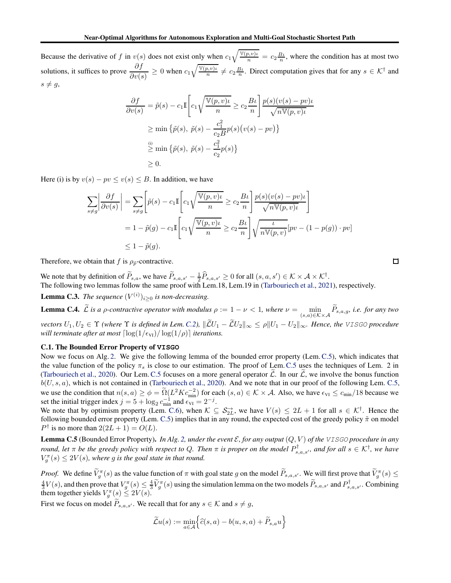Because the derivative of f in  $v(s)$  does not exist only when  $c_1\sqrt{\frac{v(p,v)_t}{n}} = c_2 \frac{B_t}{n}$ , where the condition has at most two solutions, it suffices to prove  $\frac{\partial f}{\partial v(s)} \ge 0$  when  $c_1 \sqrt{\frac{V(p, v)_v}{n}}$  $\frac{\partial z}{\partial n} \neq c_2 \frac{B\iota}{n}$ . Direct computation gives that for any  $s \in \mathcal{K}^{\dagger}$  and  $s \neq g$ ,

$$
\frac{\partial f}{\partial v(s)} = \tilde{p}(s) - c_1 \mathbb{I} \left[ c_1 \sqrt{\frac{\mathbb{V}(p, v)\iota}{n}} \ge c_2 \frac{B\iota}{n} \right] \frac{p(s)(v(s) - pv)\iota}{\sqrt{n \mathbb{V}(p, v)\iota}}
$$
  
\n
$$
\ge \min \left\{ \tilde{p}(s), \tilde{p}(s) - \frac{c_1^2}{c_2 B} p(s) (v(s) - pv) \right\}
$$
  
\n
$$
\stackrel{\text{(i)}}{\ge} \min \left\{ \tilde{p}(s), \tilde{p}(s) - \frac{c_1^2}{c_2} p(s) \right\}
$$
  
\n
$$
\ge 0.
$$

Here (i) is by  $v(s) - pv \le v(s) \le B$ . In addition, we have

$$
\sum_{s \neq g} \left| \frac{\partial f}{\partial v(s)} \right| = \sum_{s \neq g} \left[ \tilde{p}(s) - c_1 \mathbb{I} \left[ c_1 \sqrt{\frac{\mathbb{V}(p, v)\iota}{n}} \ge c_2 \frac{B\iota}{n} \right] \frac{p(s)(v(s) - pv)\iota}{\sqrt{n \mathbb{V}(p, v)\iota}} \right]
$$
  
=  $1 - \tilde{p}(g) - c_1 \mathbb{I} \left[ c_1 \sqrt{\frac{\mathbb{V}(p, v)\iota}{n}} \ge c_2 \frac{B\iota}{n} \right] \sqrt{\frac{\iota}{n \mathbb{V}(p, v)}} [pv - (1 - p(g)) \cdot pv] \le 1 - \tilde{p}(g).$ 

Therefore, we obtain that f is  $\rho_{\tilde{p}}$ -contractive.

We note that by definition of  $\widetilde{P}_{s,a}$ , we have  $\widetilde{P}_{s,a,s'} - \frac{1}{2} \widehat{P}_{s,a,s'} \ge 0$  for all  $(s,a,s') \in \mathcal{K} \times \mathcal{A} \times \mathcal{K}^{\dagger}$ . The following two lemmas follow the same proof with Lem.18, Lem.19 in [\(Tarbouriech et al.](#page-8-8), [2021](#page-8-8)), respectively.

<span id="page-12-1"></span>**Lemma C.3.** *The sequence*  $(V^{(i)})_{i\geq 0}$  *is non-decreasing.* 

**Lemma C.4.** L is a *ρ*-contractive operator with modulus  $\rho := 1 - \nu < 1$ , where  $\nu = \min_{(s,a) \in \mathcal{K} \times \mathcal{A}} P_{s,a,g}$ , i.e. for any two *vectors*  $U_1, U_2 \in \Upsilon$  *(where*  $\Upsilon$  *is defined in Lem. [C.2\)](#page-11-1),*  $\|\widetilde{L}U_1 - \widetilde{L}U_2\|_{\infty} \le \rho \|U_1 - U_2\|_{\infty}$ *. Hence, the VISGO procedure will terminate after at most*  $\lceil \log(1/\epsilon_{\text{VI}})/ \log(1/\rho) \rceil$  *iterations.* 

## C.1. The Bounded Error Property of **VISGO**

Now we focus on Alg. [2.](#page-5-0) We give the following lemma of the bounded error property (Lem.[C.5\)](#page-12-0), which indicates that the value function of the policy  $\pi_s$  is close to our estimation. The proof of Lem.[C.5](#page-12-0) uses the techniques of Lem. 2 in [\(Tarbouriech et al.](#page-8-4), [2020\)](#page-8-4). Our Lem. [C.5](#page-12-0) focuses on a more general operator  $\tilde{\mathcal{L}}$ . In our  $\tilde{\mathcal{L}}$ , we involve the bonus function  $b(U, s, a)$ , which is not contained in [\(Tarbouriech et al.](#page-8-4), [2020\)](#page-8-4). And we note that in our proof of the following Lem. [C.5,](#page-12-0) we use the condition that  $n(s, a) \ge \phi = \tilde{\Omega}(L^2 K c_{\min}^{-2})$  for each  $(s, a) \in \mathcal{K} \times \mathcal{A}$ . Also, we have  $\epsilon_{VI} \le c_{\min}/18$  because we set the initial trigger index  $j = 5 + \log_2 c_{\text{min}}^{-1}$  and  $\epsilon_{\text{VI}} = 2^{-j}$ .

We note that by optimism property (Lem. [C.6\)](#page-14-0), when  $K \subseteq S_{2L}^{\rightarrow}$ , we have  $V(s) \le 2L + 1$  for all  $s \in K^{\dagger}$ . Hence the following bounded error property (Lem. [C.5\)](#page-12-0) implies that in any round, the expected cost of the greedy policy  $\tilde{\pi}$  on model  $P^{\dagger}$  is no more than  $2(2L + 1) = O(L)$ .

<span id="page-12-0"></span>**Lemma C.5** (Bounded Error Property). *In Alg. [2,](#page-5-0) under the event*  $\mathcal{E}$ *, for any output*  $(Q, V)$  *of the VISGO procedure in any round, let*  $\pi$  *be the greedy policy with respect to Q. Then*  $\pi$  *is proper on the model*  $P_{s,a,s'}^{\dagger}$ *, and for all*  $s \in \mathcal{K}^{\dagger}$ *, we have*  $V_g^{\pi}(s) \leq 2V(s)$ , where g is the goal state in that round.

*Proof.* We define  $\tilde{V}_g^{\pi}(s)$  as the value function of  $\pi$  with goal state g on the model  $\tilde{P}_{s,a,s'}$ . We will first prove that  $\tilde{V}_g^{\pi}(s) \leq$  $\frac{4}{3}V(s)$ , and then prove that  $V_g^{\pi}(s) \leq \frac{4}{3}\widetilde{V}_g^{\pi}(s)$  using the simulation lemma on the two models  $\widetilde{P}_{s,a,s'}$  and  $P_{s,a,s'}^{\dagger}$ . Combining them together yields  $V_g^{\pi}(s) \leq 2V(s)$ .

First we focus on model  $P_{s,a,s'}$ . We recall that for any  $s \in \mathcal{K}$  and  $s \neq g$ ,

$$
\widetilde{\mathcal{L}}u(s) := \min_{a \in \mathcal{A}} \left\{ \widehat{c}(s, a) - b(u, s, a) + \widetilde{P}_{s,a}u \right\}
$$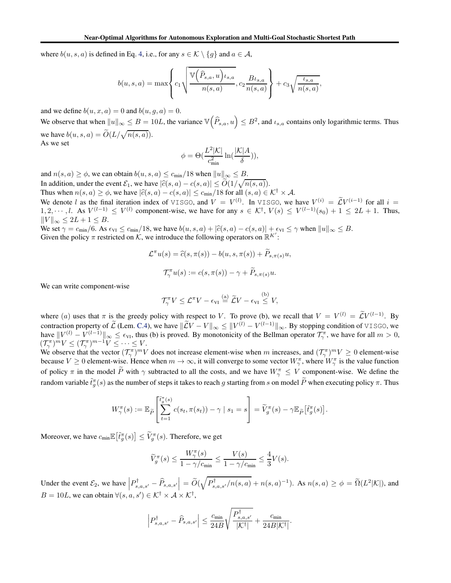where  $b(u, s, a)$  is defined in Eq. [4,](#page-10-1) i.e., for any  $s \in \mathcal{K} \setminus \{g\}$  and  $a \in \mathcal{A}$ ,

$$
b(u,s,a) = \max\left\{c_1\sqrt{\frac{\mathbb{V}\left(\widehat{P}_{s,a},u\right)\iota_{s,a}}{n(s,a)}}, c_2\frac{B\iota_{s,a}}{n(s,a)}\right\} + c_3\sqrt{\frac{\iota_{s,a}}{n(s,a)}},\right\}
$$

and we define  $b(u, x, a) = 0$  and  $b(u, g, a) = 0$ .

We observe that when  $||u||_{\infty} \le B = 10L$ , the variance  $\mathbb{V}(\widehat{P}_{s,a}, u) \le B^2$ , and  $\iota_{s,a}$  contains only logarithmic terms. Thus we have  $b(u, s, a) = \tilde{O}(L/\sqrt{n(s, a)})$ . As we set

$$
\phi = \Theta\big(\frac{L^2 |\mathcal{K}|}{c_{\min}^2} \ln(\frac{|\mathcal{K}|A}{\delta})\big),
$$

and  $n(s, a) \ge \phi$ , we can obtain  $b(u, s, a) \le c_{\min}/18$  when  $||u||_{\infty} \le B$ . In addition, under the event  $\mathcal{E}_1$ , we have  $|\hat{c}(s, a) - c(s, a)| \leq \tilde{O}(1/\sqrt{n(s, a)})$ .

Thus when  $n(s, a) \ge \phi$ , we have  $|\widehat{c}(s, a) - c(s, a)| \le c_{\min}/18$  for all  $(s, a) \in \mathcal{K}^{\dagger} \times \mathcal{A}$ .

We denote l as the final iteration index of VISGO, and  $V = V^{(l)}$ . In VISGO, we have  $V^{(i)} = \mathcal{L} V^{(i-1)}$  for all  $i =$  $1, 2, \dots, l$ . As  $V^{(l-1)} \leq V^{(l)}$  component-wise, we have for any  $s \in \mathcal{K}^{\dagger}$ ,  $V(s) \leq V^{(l-1)}(s_0) + 1 \leq 2L + 1$ . Thus,  $||V||_{\infty} \leq 2L + 1 \leq B.$ 

We set  $\gamma = c_{\min}/6$ . As  $\epsilon_{VI} \leq c_{\min}/18$ , we have  $b(u, s, a) + |\hat{c}(s, a) - c(s, a)| + \epsilon_{VI} \leq \gamma$  when  $||u||_{\infty} \leq B$ . Given the policy  $\pi$  restricted on  $K$ , we introduce the following operators on  $\mathbb{R}^{K'}$ :

$$
\mathcal{L}^{\pi}u(s) = \widehat{c}(s, \pi(s)) - b(u, s, \pi(s)) + \widetilde{P}_{s, \pi(s)}u,
$$
  

$$
\mathcal{T}_{\gamma}^{\pi}u(s) := c(s, \pi(s)) - \gamma + \widetilde{P}_{s, \pi(s)}u.
$$

We can write component-wise

$$
\mathcal{T}_{\gamma}^{\pi}V \leq \mathcal{L}^{\pi}V - \epsilon_{\text{VI}} \stackrel{\text{(a)}}{=} \widetilde{\mathcal{L}}V - \epsilon_{\text{VI}} \stackrel{\text{(b)}}{\leq} V,
$$

where (a) uses that  $\pi$  is the greedy policy with respect to V. To prove (b), we recall that  $V = V^{(l)} = \mathcal{L} V^{(l-1)}$ . By contraction property of  $\mathcal{L}$  (Lem. [C.4\)](#page-12-1), we have  $||\mathcal{L}V - V||_{\infty} \le ||V^{(l)} - V^{(l-1)}||_{\infty}$ . By stopping condition of VISGO, we have  $||V^{(l)} - V^{(l-1)}||_{\infty} \le \epsilon_{\text{VI}}$ , thus (b) is proved. By monotonicity of the Bellman operator  $\mathcal{T}_{\gamma}^{\pi}$ , we have for all  $m > 0$ ,  $(\mathcal{T}_{\gamma}^{\pi})^{m}V \leq (\mathcal{T}_{\gamma}^{\pi})^{m-1}V \leq \cdots \leq V.$ 

We observe that the vector  $(\mathcal{T}_{\gamma}^{\pi})^m V$  does not increase element-wise when m increases, and  $(\mathcal{T}_{\gamma}^{\pi})^m V \ge 0$  element-wise because  $V \ge 0$  element-wise. Hence when  $m \to \infty$ , it will converge to some vector  $W_{\gamma}^{\pi}$ , where  $W_{\gamma}^{\pi}$  is the value function of policy  $\pi$  in the model  $\tilde{P}$  with  $\gamma$  subtracted to all the costs, and we have  $W_{\gamma}^{\pi} \leq V$  component-wise. We define the random variable  $\tilde{t}^\pi_g(s)$  as the number of steps it takes to reach  $g$  starting from  $s$  on model  $\widetilde{P}$  when executing policy  $\pi.$  Thus

$$
W_{\gamma}^{\pi}(s) := \mathbb{E}_{\widetilde{P}}\left[\sum_{t=1}^{\widetilde{t}_{g}^{\pi}(s)} c(s_{t}, \pi(s_{t})) - \gamma \mid s_{1} = s\right] = \widetilde{V}_{g}^{\pi}(s) - \gamma \mathbb{E}_{\widetilde{P}}\left[\widetilde{t}_{g}^{\pi}(s)\right].
$$

Moreover, we have  $c_{\min} \mathbb{E}\big[\tilde{t}_g^{\pi}(s)\big] \leq \widetilde{V}_g^{\pi}(s)$ . Therefore, we get

$$
\widetilde{V}^\pi_g(s) \leq \frac{W^\pi_\gamma(s)}{1-\gamma/c_{\min}} \leq \frac{V(s)}{1-\gamma/c_{\min}} \leq \frac{4}{3}V(s).
$$

Under the event  $\mathcal{E}_2$ , we have  $\left| P_{s,a,s'}^{\dagger} - \widehat{P}_{s,a,s'} \right| = \widetilde{O}(\sqrt{P_{s,a,s'}^{\dagger}/n(s,a)} + n(s,a)^{-1})$ . As  $n(s,a) \ge \phi = \widetilde{\Omega}(L^2|\mathcal{K}|)$ , and  $B = 10L$ , we can obtain  $\forall (s, a, s') \in \mathcal{K}^{\dagger} \times \mathcal{A} \times \mathcal{K}^{\dagger}$ ,

$$
\left|P_{s,a,s'}^{\dagger}-\widehat{P}_{s,a,s'}\right|\leq \frac{c_{\min}}{24B}\sqrt{\frac{P_{s,a,s'}^{\dagger}}{|\mathcal{K}^{\dagger}|}}+\frac{c_{\min}}{24B|\mathcal{K}^{\dagger}|}.
$$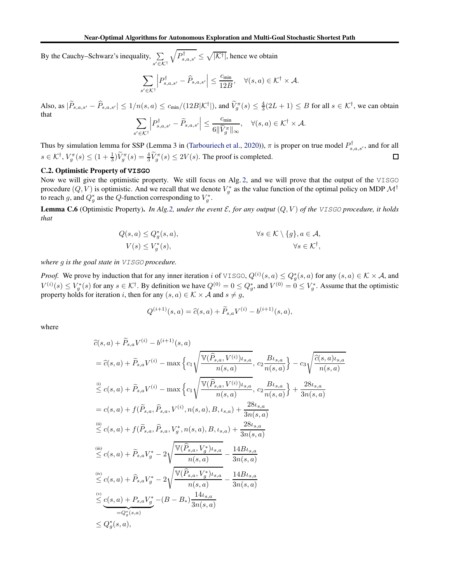By the Cauchy–Schwarz's inequality,  $\sum$ s ′∈K†  $\sqrt{P_{s,a,s'}^{\dagger}} \leq \sqrt{|\mathcal{K}^{\dagger}|}$ , hence we obtain

$$
\sum_{s' \in \mathcal{K}^{\dagger}} \left| P_{s,a,s'}^{\dagger} - \widehat{P}_{s,a,s'} \right| \leq \frac{c_{\min}}{12B}, \quad \forall (s,a) \in \mathcal{K}^{\dagger} \times \mathcal{A}.
$$

Also, as  $|\tilde{P}_{s,a,s'} - \hat{P}_{s,a,s'}| \leq 1/n(s,a) \leq c_{\min}/(12B|\mathcal{K}^{\dagger}|)$ , and  $\tilde{V}_g^{\pi}(s) \leq \frac{4}{3}(2L+1) \leq B$  for all  $s \in \mathcal{K}^{\dagger}$ , we can obtain that  $\overline{\phantom{a}}$  $\begin{array}{c} \hline \end{array}$  $c_{\min}$ 

$$
\sum_{s' \in \mathcal{K}^{\dagger}} \left| P_{s,a,s'}^{\dagger} - \widetilde{P}_{s,a,s'} \right| \leq \frac{c_{\min}}{6 \|\widetilde{V}_g^{\pi}\|_{\infty}}, \quad \forall (s,a) \in \mathcal{K}^{\dagger} \times \mathcal{A}.
$$

Thus by simulation lemma for SSP (Lemma 3 in [\(Tarbouriech et al.](#page-8-4), [2020\)](#page-8-4)),  $\pi$  is proper on true model  $P^{\dagger}_{s,a,s'}$ , and for all  $s \in \mathcal{K}^{\dagger}$ ,  $V_g^{\pi}(s) \leq (1 + \frac{1}{3})\widetilde{V}_g^{\pi}(s) = \frac{4}{3}\widetilde{V}_g^{\pi}(s) \leq 2V(s)$ . The proof is completed.  $\Box$ 

# C.2. Optimistic Property of **VISGO**

Now we will give the optimistic property. We still focus on Alg. [2,](#page-5-0) and we will prove that the output of the VISGO procedure  $(Q, V)$  is optimistic. And we recall that we denote  $V_g^*$  as the value function of the optimal policy on MDP  $\mathcal{M}^\dagger$ to reach g, and  $Q_g^*$  as the Q-function corresponding to  $V_g^*$ .

<span id="page-14-0"></span>**Lemma C.6** (Optimistic Property). *In Alg[.2,](#page-5-0) under the event*  $\mathcal{E}$ , for any output  $(Q, V)$  of the VISGO procedure, it holds *that*

$$
Q(s, a) \le Q_g^*(s, a), \qquad \forall s \in \mathcal{K} \setminus \{g\}, a \in \mathcal{A},
$$
  

$$
V(s) \le V_g^*(s), \qquad \forall s \in \mathcal{K}^\dagger,
$$

*where* g *is the goal state in* VISGO *procedure.*

*Proof.* We prove by induction that for any inner iteration i of VISGO,  $Q^{(i)}(s, a) \le Q_g^*(s, a)$  for any  $(s, a) \in K \times A$ , and  $V^{(i)}(s) \le V_g^*(s)$  for any  $s \in \mathcal{K}^\dagger$ . By definition we have  $Q^{(0)} = 0 \le Q_g^*$ , and  $V^{(0)} = 0 \le V_g^*$ . Assume that the optimistic property holds for iteration i, then for any  $(s, a) \in K \times A$  and  $s \neq g$ ,

$$
Q^{(i+1)}(s,a) = \hat{c}(s,a) + \tilde{P}_{s,a}V^{(i)} - b^{(i+1)}(s,a),
$$

where

$$
\begin{split}\n\hat{c}(s,a) + \tilde{P}_{s,a}V^{(i)} - b^{(i+1)}(s,a) \\
&= \hat{c}(s,a) + \tilde{P}_{s,a}V^{(i)} - \max\left\{c_1\sqrt{\frac{\mathbb{V}(\hat{P}_{s,a},V^{(i)})_{t_{s,a}}}{n(s,a)}}, c_2\frac{B_{t_{s,a}}}{n(s,a)}\right\} - c_3\sqrt{\frac{\hat{c}(s,a)_{t_{s,a}}}{n(s,a)}} \\
&\stackrel{\text{(i)}}{\leq} c(s,a) + \tilde{P}_{s,a}V^{(i)} - \max\left\{c_1\sqrt{\frac{\mathbb{V}(\hat{P}_{s,a},V^{(i)})_{t_{s,a}}}{n(s,a)}, c_2\frac{B_{t_{s,a}}}{n(s,a)}\right\} + \frac{28t_{s,a}}{3n(s,a)} \\
&= c(s,a) + f(\tilde{P}_{s,a},\hat{P}_{s,a},V^{(i)},n(s,a),B,t_{s,a}) + \frac{28t_{s,a}}{3n(s,a)} \\
&\stackrel{\text{(ii)}}{\leq} c(s,a) + f(\tilde{P}_{s,a},\hat{P}_{s,a},V_g^*,n(s,a),B,t_{s,a}) + \frac{28t_{s,a}}{3n(s,a)} \\
&\stackrel{\text{(iii)}}{\leq} c(s,a) + \tilde{P}_{s,a}V_g^* - 2\sqrt{\frac{\mathbb{V}(\hat{P}_{s,a},V_g^*)_{t_{s,a}}}{n(s,a)}} - \frac{14B_{t_{s,a}}}{3n(s,a)} \\
&\stackrel{\text{(iv)}}{\leq} c(s,a) + \hat{P}_{s,a}V_g^* - 2\sqrt{\frac{\mathbb{V}(\hat{P}_{s,a},V_g^*)_{t_{s,a}}}{n(s,a)}} - \frac{14B_{t_{s,a}}}{3n(s,a)} \\
&\stackrel{\text{(v)}}{\leq} \underbrace{c(s,a) + P_{s,a}V_g^*} - (B - B_s)\frac{14t_{s,a}}{3n(s,a)} \\
&\leq Q_g^*(s,a),\n\end{split}
$$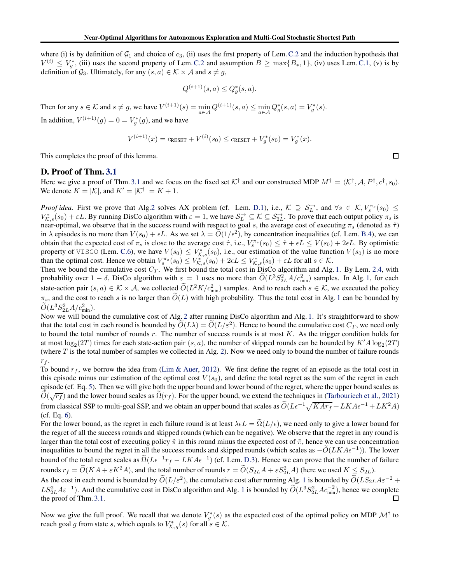where (i) is by definition of  $G_1$  and choice of  $c_3$ , (ii) uses the first property of Lem. [C.2](#page-11-1) and the induction hypothesis that  $V^{(i)} \n\t\le V_g^*$ , (iii) uses the second property of Lem. [C.2](#page-11-1) and assumption  $B \ge \max\{B_*, 1\}$ , (iv) uses Lem. [C.1,](#page-11-2) (v) is by definition of  $\mathcal{G}_3$ . Ultimately, for any  $(s, a) \in \mathcal{K} \times \mathcal{A}$  and  $s \neq g$ ,

$$
Q^{(i+1)}(s, a) \le Q_g^*(s, a).
$$

Then for any  $s \in \mathcal{K}$  and  $s \neq g$ , we have  $V^{(i+1)}(s) = \min_{a \in \mathcal{A}} Q^{(i+1)}(s, a) \leq \min_{a \in \mathcal{A}} Q_g^*(s, a) = V_g^*(s)$ .

In addition,  $V^{(i+1)}(g) = 0 = V_g^*(g)$ , and we have

$$
V^{(i+1)}(x) = c_{\text{RESET}} + V^{(i)}(s_0) \le c_{\text{RESET}} + V_g^*(s_0) = V_g^*(x).
$$

This completes the proof of this lemma.

#### D. Proof of Thm. [3.1](#page-6-0)

Here we give a proof of Thm. [3.1](#page-6-0) and we focus on the fixed set  $K^{\dagger}$  and our constructed MDP  $M^{\dagger} = \langle K^{\dagger}, A, P^{\dagger}, c^{\dagger}, s_0 \rangle$ . We denote  $K = |\mathcal{K}|$ , and  $K' = |\mathcal{K}^{\dagger}| = K + 1$ .

*Proof idea.* First we prove that Alg[.2](#page-5-0) solves AX problem (cf. Lem. [D.1\)](#page-16-0), i.e.,  $\mathcal{K} \supseteq \mathcal{S}_L^{\rightarrow}$ , and  $\forall s \in \mathcal{K}, V_s^{\pi_s}(s_0) \leq$  $V_{K,s}^*(s_0) + \varepsilon L$ . By running DisCo algorithm with  $\varepsilon = 1$ , we have  $S_L^{\to} \subseteq K \subseteq S_{2L}^{\to}$ . To prove that each output policy  $\pi_s$  is near-optimal, we observe that in the success round with respect to goal s, the average cost of executing  $\pi_s$  (denoted as  $\hat{\tau}$ ) in  $\lambda$  episodes is no more than  $V(s_0) + \epsilon L$ . As we set  $\lambda = O(1/\epsilon^2)$ , by concentration inequalities (cf. Lem. [B.4\)](#page-10-2), we can obtain that the expected cost of  $\pi_s$  is close to the average cost  $\hat{\tau}$ , i.e.,  $V_s^{\pi_s}(s_0) \leq \hat{\tau} + \epsilon L \leq V(s_0) + 2\epsilon L$ . By optimistic property of VISGO (Lem. [C.6\)](#page-14-0), we have  $V(s_0) \leq V_{K,s}^*(s_0)$ , i.e., our estimation of the value function  $V(s_0)$  is no more than the optimal cost. Hence we obtain  $V_{s}^{\pi_s}(s_0) \leq V_{\mathcal{K},s}^*(s_0) + 2\epsilon L \leq V_{\mathcal{K},s}^*(s_0) + \epsilon L$  for all  $s \in \mathcal{K}$ .

Then we bound the cumulative cost  $C_T$ . We first bound the total cost in DisCo algorithm and Alg. [1.](#page-4-0) By Lem. [2.4,](#page-4-2) with probability over  $1 - \delta$ , DisCo algorithm with  $\varepsilon = 1$  uses no more than  $\tilde{O}(L^3 S_{2L}^2 A/c_{\min}^2)$  samples. In Alg. [1,](#page-4-0) for each state-action pair  $(s, a) \in \mathcal{K} \times \mathcal{A}$ , we collected  $\tilde{O}(L^2K/c_{\min}^2)$  samples. And to reach each  $s \in \mathcal{K}$ , we executed the policy  $\pi_s$ , and the cost to reach s is no larger than  $\tilde{O}(L)$  with high probability. Thus the total cost in Alg. [1](#page-4-0) can be bounded by  $\tilde{O}(L^3 S_{2L}^2 A/c_{\text{min}}^2).$ 

Now we will bound the cumulative cost of Alg. [2](#page-5-0) after running DisCo algorithm and Alg. [1.](#page-4-0) It's straightforward to show that the total cost in each round is bounded by  $\tilde{O}(L\lambda) = \tilde{O}(L/\varepsilon^2)$ . Hence to bound the cumulative cost  $C_T$ , we need only to bound the total number of rounds  $r$ . The number of success rounds is at most  $K$ . As the trigger condition holds for at most  $\log_2(2T)$  times for each state-action pair  $(s, a)$ , the number of skipped rounds can be bounded by  $K'A \log_2(2T)$ (where  $T$  is the total number of samples we collected in Alg. [2\)](#page-5-0). Now we need only to bound the number of failure rounds  $r_f$ .

To bound  $r_f$ , we borrow the idea from [\(Lim & Auer,](#page-8-0) [2012\)](#page-8-0). We first define the regret of an episode as the total cost in this episode minus our estimation of the optimal cost  $V(s_0)$ , and define the total regret as the sum of the regret in each episode (cf. Eq. [5\)](#page-17-2). Then we will give both the upper bound and lower bound of the regret, where the upper bound scales as  $\tilde{O}(\sqrt{r_f})$  and the lower bound scales as  $\tilde{\Omega}(r_f)$ . For the upper bound, we extend the techniques in [\(Tarbouriech et al.,](#page-8-8) [2021\)](#page-8-8) from classical SSP to multi-goal SSP, and we obtain an upper bound that scales as  $\tilde{O}(L\epsilon^{-1}\sqrt{KAr_f} + LKA\epsilon^{-1} + LK^2A)$ (cf. Eq. [6\)](#page-17-3).

For the lower bound, as the regret in each failure round is at least  $\lambda \epsilon L = \Omega(L/\epsilon)$ , we need only to give a lower bound for the regret of all the success rounds and skipped rounds (which can be negative). We observe that the regret in any round is larger than the total cost of executing policy  $\tilde{\pi}$  in this round minus the expected cost of  $\tilde{\pi}$ , hence we can use concentration inequalities to bound the regret in all the success rounds and skipped rounds (which scales as  $-\tilde{O}(LKA\epsilon^{-1})$ ). The lower bound of the total regret scales as  $\Omega(L\epsilon^{-1}r_f - LKA\epsilon^{-1})$  (cf. Lem. [D.3\)](#page-17-0). Hence we can prove that the number of failure rounds  $r_f = \tilde{O}(KA + \varepsilon K^2 A)$ , and the total number of rounds  $r = \tilde{O}(S_{2L}A + \varepsilon S_{2L}^2 A)$  (here we used  $K \leq S_{2L}$ ).

As the cost in each round is bounded by  $\widetilde{O}(L/\varepsilon^2)$ , the cumulative cost after running Alg. [1](#page-4-0) is bounded by  $\widetilde{O}(LS_{2L}A\varepsilon^{-2} +$  $LS_{2L}^2A\varepsilon^{-1}$  $LS_{2L}^2A\varepsilon^{-1}$  $LS_{2L}^2A\varepsilon^{-1}$ ). And the cumulative cost in DisCo algorithm and Alg. 1 is bounded by  $\widetilde{O}(L^3S_{2L}^2Ac_{\text{min}}^{-2})$ , hence we complete the proof of Thm. [3.1.](#page-6-0)

Now we give the full proof. We recall that we denote  $V_g^*(s)$  as the expected cost of the optimal policy on MDP  $\mathcal{M}^\dagger$  to reach goal g from state s, which equals to  $V_{\mathcal{K},g}^*(s)$  for all  $s \in \mathcal{K}$ .

□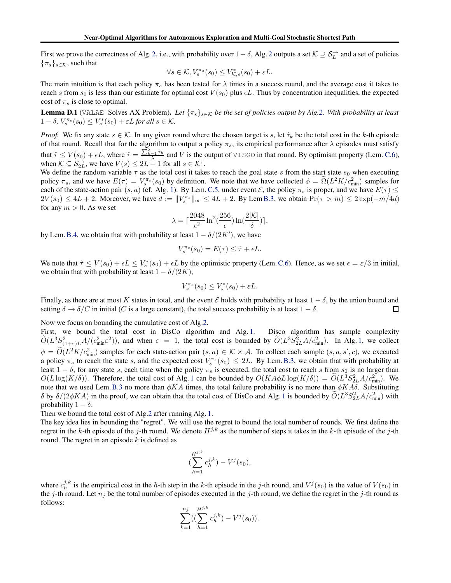First we prove the correctness of Alg. [2,](#page-5-0) i.e., with probability over  $1 - \delta$ , Alg. [2](#page-5-0) outputs a set  $K \supseteq S_L^{\rightarrow}$  and a set of policies  ${\{\pi_s\}}_{s\in\mathcal{K}}$ , such that

$$
\forall s \in \mathcal{K}, V_s^{\pi_s}(s_0) \leq V_{\mathcal{K},s}^*(s_0) + \varepsilon L.
$$

The main intuition is that each policy  $\pi_s$  has been tested for  $\lambda$  times in a success round, and the average cost it takes to reach s from  $s_0$  is less than our estimate for optimal cost  $V(s_0)$  plus  $\epsilon L$ . Thus by concentration inequalities, the expected cost of  $\pi_s$  is close to optimal.

<span id="page-16-0"></span>**Lemma D.1** (VALAE Solves AX Problem). Let  $\{\pi_s\}_{s \in K}$  *be the set of policies output by Alg[.2.](#page-5-0)* With probability at least  $1 - \delta$ ,  $V_s^{\pi_s}(s_0) \leq V_s^*(s_0) + \varepsilon L$  for all  $s \in \mathcal{K}$ .

*Proof.* We fix any state  $s \in \mathcal{K}$ . In any given round where the chosen target is s, let  $\hat{\tau}_k$  be the total cost in the k-th episode of that round. Recall that for the algorithm to output a policy  $\pi_s$ , its empirical performance after  $\lambda$  episodes must satisfy that  $\hat{\tau} \le V(s_0) + \epsilon L$ , where  $\hat{\tau} = \frac{\sum_{k=1}^{X} \hat{\tau}_k}{\lambda}$  and V is the output of VISGO in that round. By optimism property (Lem. [C.6\)](#page-14-0), when  $K \subseteq S_{2L}^{\rightarrow}$ , we have  $V(s) \le 2L + 1$  for all  $s \in \mathcal{K}^{\dagger}$ .

We define the random variable  $\tau$  as the total cost it takes to reach the goal state s from the start state  $s_0$  when executing policy  $\pi_s$ , and we have  $E(\tau) = V_s^{\pi_s}(s_0)$  by definition. We note that we have collected  $\phi = \Omega(L^2 K/c_{\text{min}}^2)$  samples for each of the state-action pair  $(s, a)$  (cf. Alg. [1\)](#page-4-0). By Lem. [C.5,](#page-12-0) under event  $\mathcal{E}$ , the policy  $\pi_s$  is proper, and we have  $E(\tau) \le$  $2V(s_0) \le 4L + 2$ . Moreover, we have  $d := ||V_s^{\pi_s}||_{\infty} \le 4L + 2$ . By Lem [B.3,](#page-10-3) we obtain  $Pr(\tau > m) \le 2exp(-m/4d)$ for any  $m > 0$ . As we set

$$
\lambda = \lceil \frac{2048}{\epsilon^2} \ln^2(\frac{256}{\epsilon}) \ln(\frac{2|\mathcal{K}|}{\delta}) \rceil,
$$

by Lem. [B.4,](#page-10-2) we obtain that with probability at least  $1 - \delta/(2K')$ , we have

$$
V_s^{\pi_s}(s_0) = E(\tau) \leq \hat{\tau} + \epsilon L.
$$

We note that  $\hat{\tau} \le V(s_0) + \epsilon L \le V_s^*(s_0) + \epsilon L$  by the optimistic property (Lem. [C.6\)](#page-14-0). Hence, as we set  $\epsilon = \epsilon/3$  in initial, we obtain that with probability at least  $1 - \delta/(2K)$ ,

$$
V_s^{\pi_s}(s_0) \le V_s^*(s_0) + \varepsilon L.
$$

Finally, as there are at most K states in total, and the event E holds with probability at least  $1 - \delta$ , by the union bound and setting  $\delta \to \delta/C$  in initial (C is a large constant), the total success probability is at lea setting  $\delta \to \delta/C$  in initial (C is a large constant), the total success probability is at least  $1 - \delta$ .

Now we focus on bounding the cumulative cost of Alg[.2.](#page-5-0)

First, we bound the total cost in DisCo algorithm and Alg. [1.](#page-4-0) Disco algorithm has sample complexity  $\tilde{O}(L^3 S_{(1+\varepsilon)L}^2 A/(c_{\min}^2 \varepsilon^2))$ , and when  $\varepsilon = 1$ , the total cost is bounded by  $\tilde{O}(L^3 S_{2L}^2 A/c_{\min}^2)$ . In Alg. [1,](#page-4-0) we collect  $\phi = \tilde{O}(L^2 K/c_{\min}^2)$  samples for each state-action pair  $(s, a) \in \mathcal{K} \times \mathcal{A}$ . To collect each sample  $(s, a, s', c)$ , we executed a policy  $\pi_s$  to reach the state s, and the expected cost  $V_s^{\pi_s}(s_0) \leq 2L$ . By Lem. [B.3,](#page-10-3) we obtain that with probability at least  $1 - \delta$ , for any state s, each time when the policy  $\pi_s$  is executed, the total cost to reach s from s<sub>0</sub> is no larger than  $O(L \log(K/\delta))$ . Therefore, the total cost of Alg. [1](#page-4-0) can be bounded by  $O(KA\phi L \log(K/\delta)) = O(L^3 S_{2L}^2 A/c_{\min}^2)$ . We note that we used Lem.[B.3](#page-10-3) no more than  $\phi KA$  times, the total failure probability is no more than  $\phi KA\delta$ . Substituting δ by  $\delta/(2\phi KA)$  in the proof, we can obtain that the total cost of DisCo and Alg. [1](#page-4-0) is bounded by  $O(L^3S_{2L}^2A/c_{\text{min}}^2)$  with probability  $1 - \delta$ .

Then we bound the total cost of Alg[.2](#page-5-0) after running Alg. [1.](#page-4-0)

The key idea lies in bounding the "regret". We will use the regret to bound the total number of rounds. We first define the regret in the k-th episode of the j-th round. We denote  $H^{j,k}$  as the number of steps it takes in the k-th episode of the j-th round. The regret in an episode  $k$  is defined as

$$
\left(\sum_{h=1}^{H^{j,k}} c_h^{j,k}\right) - V^j(s_0),
$$

where  $c_h^{j,k}$  is the empirical cost in the h-th step in the k-th episode in the j-th round, and  $V^j(s_0)$  is the value of  $V(s_0)$  in the j-th round. Let  $n_j$  be the total number of episodes executed in the j-th round, we define the regret in the j-th round as follows:

$$
\sum_{k=1}^{n_j} \left( \left( \sum_{h=1}^{H^{j,k}} c_h^{j,k} \right) - V^j(s_0) \right).
$$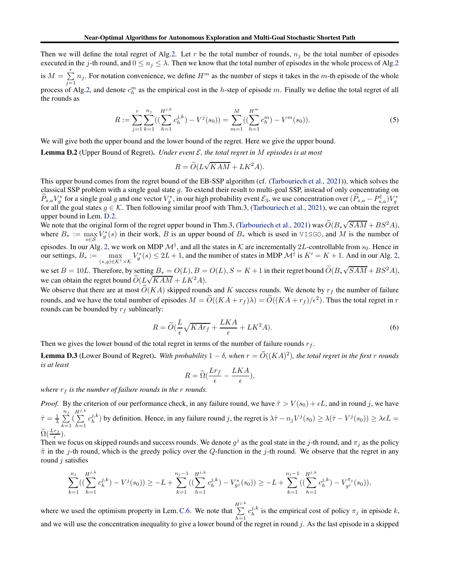Then we will define the total regret of Alg[.2.](#page-5-0) Let r be the total number of rounds,  $n_j$  be the total number of episodes executed in the j-th round, and  $0 \le n_j \le \lambda$ . Then we know that the total number of episodes in the whole process of Alg[.2](#page-5-0) is  $M = \sum^{r}$  $\sum_{j=1} n_j$ . For notation convenience, we define  $H^m$  as the number of steps it takes in the m-th episode of the whole process of Alg[.2,](#page-5-0) and denote  $c_h^m$  as the empirical cost in the h-step of episode m. Finally we define the total regret of all the rounds as

<span id="page-17-2"></span>
$$
R := \sum_{j=1}^{r} \sum_{k=1}^{n_j} \left( \left( \sum_{h=1}^{H^{j,k}} c_h^{j,k} \right) - V^j(s_0) \right) = \sum_{m=1}^{M} \left( \left( \sum_{h=1}^{H^m} c_h^m \right) - V^m(s_0) \right).
$$
 (5)

<span id="page-17-1"></span>We will give both the upper bound and the lower bound of the regret. Here we give the upper bound.

Lemma D.2 (Upper Bound of Regret). *Under event* E*, the total regret in* M *episodes is at most*

$$
R = \widetilde{O}(L\sqrt{KAM} + LK^2A).
$$

This upper bound comes from the regret bound of the EB-SSP algorithm (cf. [\(Tarbouriech et al.](#page-8-8), [2021\)](#page-8-8)), which solves the classical SSP problem with a single goal state  $q$ . To extend their result to multi-goal SSP, instead of only concentrating on  $\hat{P}_{s,a}V_g^*$  for a single goal g and one vector  $V_g^*$ , in our high probability event  $\mathcal{E}_3$ , we use concentration over  $(\hat{P}_{s,a} - P_{s,a}^\dagger)V_g^*$ for all the goal states  $g \in \mathcal{K}$ . Then following similar proof with Thm.3, [\(Tarbouriech et al.](#page-8-8), [2021](#page-8-8)), we can obtain the regret upper bound in Lem. [D.2.](#page-17-1)

We note that the original form of the regret upper bound in Thm.3, [\(Tarbouriech et al.,](#page-8-8) [2021\)](#page-8-8) was  $\tilde{O}(B_*\sqrt{SAM} + BS^2A)$ , where  $B_* := \max_{s \in S} V_s^*(s)$  in their work, B is an upper bound of  $B_*$  which is used in VISGO, and M is the number of episodes. In our Alg. [2,](#page-5-0) we work on MDP  $\mathcal{M}^{\dagger}$ , and all the states in  $\mathcal{K}$  are incrementally 2L-controllable from  $s_0$ . Hence in our settings,  $B_* := \max_{(s,g)\in\mathcal{K}^\dagger\times\mathcal{K}} V_g^*(s) \leq 2L+1$ , and the number of states in MDP  $\mathcal{M}^\dagger$  is  $K' = K+1$ . And in our Alg. [2,](#page-5-0)

we set  $B = 10L$ . Therefore, by setting  $B_* = O(L)$ ,  $B = O(L)$ ,  $S = K + 1$  in their regret bound  $\tilde{O}(B_*\sqrt{SAM} + BS^2A)$ , we can obtain the regret bound  $\widetilde{O}(L\sqrt{KAM} + LK^2A)$ .

We observe that there are at most  $\tilde{O}(KA)$  skipped rounds and K success rounds. We denote by  $r_f$  the number of failure rounds, and we have the total number of episodes  $M = O((KA + r_f)\lambda) = O((KA + r_f)/\epsilon^2)$ . Thus the total regret in r rounds can be bounded by  $r_f$  sublinearly:

<span id="page-17-3"></span>
$$
R = \widetilde{O}\left(\frac{L}{\epsilon}\sqrt{KAr_f} + \frac{LKA}{\epsilon} + LK^2A\right). \tag{6}
$$

<span id="page-17-0"></span>Then we gives the lower bound of the total regret in terms of the number of failure rounds  $r_f$ .

**Lemma D.3** (Lower Bound of Regret). With probability  $1 - \delta$ , when  $r = O((KA)^2)$ , the total regret in the first r rounds *is at least*

$$
R = \widetilde{\Omega} \left( \frac{Lr_f}{\epsilon} - \frac{LKA}{\epsilon} \right),
$$

*where*  $r_f$  *is the number of failure rounds in the r rounds.* 

*Proof.* By the criterion of our performance check, in any failure round, we have  $\hat{\tau} > V(s_0) + \epsilon L$ , and in round j, we have  $\hat{\tau} = \frac{1}{\lambda} \sum_{i=1}^{n_j}$  $k=1$  $\left(\sum^{H^{j,k}}\right)$  $h=1$  $c_h^{j,k}$ ) by definition. Hence, in any failure round j, the regret is  $\lambda \hat{\tau} - n_j V^j(s_0) \geq \lambda(\hat{\tau} - V^j(s_0)) \geq \lambda \epsilon L =$  $\widetilde{\Omega}(\frac{Lr_f}{\epsilon}).$ 

Then we focus on skipped rounds and success rounds. We denote  $g^j$  as the goal state in the j-th round, and  $\pi_j$  as the policy  $\tilde{\pi}$  in the j-th round, which is the greedy policy over the Q-function in the j-th round. We observe that the regret in any round  $j$  satisfies

$$
\sum_{k=1}^{n_j} \left( \left( \sum_{h=1}^{H^{j,k}} c_h^{j,k} \right) - V^j(s_0) \right) \ge -L + \sum_{k=1}^{n_j-1} \left( \left( \sum_{h=1}^{H^{j,k}} c_h^{j,k} \right) - V^*_{g^j}(s_0) \right) \ge -L + \sum_{k=1}^{n_j-1} \left( \left( \sum_{h=1}^{H^{j,k}} c_h^{j,k} \right) - V^{\pi_j}_{g^j}(s_0) \right),
$$

where we used the optimism property in Lem. [C.6.](#page-14-0) We note that  $\sum_{n=1}^{H^{j,k}}$  $h=1$  $c_h^{j,k}$  is the empirical cost of policy  $\pi_j$  in episode k, and we will use the concentration inequality to give a lower bound of the regret in round j. As the last episode in a skipped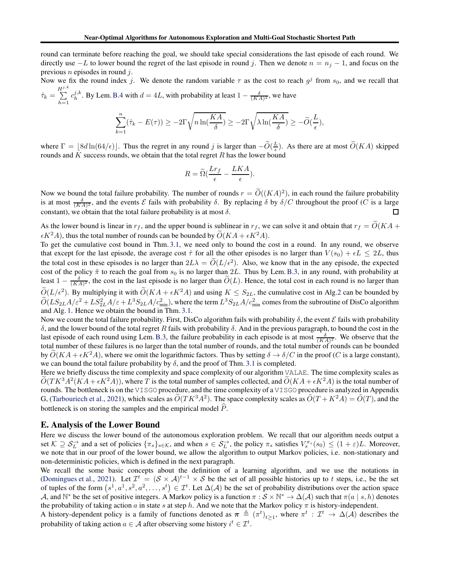round can terminate before reaching the goal, we should take special considerations the last episode of each round. We directly use  $-L$  to lower bound the regret of the last episode in round j. Then we denote  $n = n_j - 1$ , and focus on the previous  $n$  episodes in round  $j$ .

Now we fix the round index j. We denote the random variable  $\tau$  as the cost to reach  $g^j$  from  $s_0$ , and we recall that  $\hat{\tau}_k = \sum^{H^{j,k}}$  $c_h^{j,k}$ . By Lem. [B.4](#page-10-2) with  $d = 4L$ , with probability at least  $1 - \frac{\delta}{(KA)^2}$ , we have

$$
\sum_{k=1}^n (\hat{\tau}_k - E(\tau)) \ge -2\Gamma \sqrt{n \ln(\frac{KA}{\delta})} \ge -2\Gamma \sqrt{\lambda \ln(\frac{KA}{\delta})} \ge -\widetilde{O}(\frac{L}{\epsilon}),
$$

where  $\Gamma = \lfloor 8d \ln(64/\epsilon) \rfloor$ . Thus the regret in any round j is larger than  $-\widetilde{O}(\frac{L}{\epsilon})$ . As there are at most  $\widetilde{O}(KA)$  skipped rounds and K success rounds, we obtain that the total regret  $R$  has the lower bound

$$
R = \widetilde{\Omega} \left( \frac{Lr_f}{\epsilon} - \frac{LKA}{\epsilon} \right).
$$

Now we bound the total failure probability. The number of rounds  $r = \tilde{O}((KA)^2)$ , in each round the failure probability is at most  $\frac{\delta}{(KA)^2}$ , and the events  $\mathcal E$  fails with probability  $\delta$ . By replacing  $\delta$  by  $\delta/C$  throughout the proof  $(C$  is a large constant), we obtain that the total failure probability is at most  $\delta$ .  $\Box$ 

As the lower bound is linear in  $r_f$ , and the upper bound is sublinear in  $r_f$ , we can solve it and obtain that  $r_f = \tilde{O}(KA +$  $\epsilon K^2A$ , thus the total number of rounds can be bounded by  $\widetilde{O}(KA + \epsilon K^2A)$ .

To get the cumulative cost bound in Thm. [3.1,](#page-6-0) we need only to bound the cost in a round. In any round, we observe that except for the last episode, the average cost  $\hat{\tau}$  for all the other episodes is no larger than  $V(s_0) + \epsilon L \leq 2L$ , thus the total cost in these episodes is no larger than  $2L\lambda = O(L/\epsilon^2)$ . Also, we know that in the any episode, the expected cost of the policy  $\tilde{\pi}$  to reach the goal from  $s_0$  is no larger than 2L. Thus by Lem.[B.3,](#page-10-3) in any round, with probability at least  $1 - \frac{\delta}{(KA)^2}$ , the cost in the last episode is no larger than  $\widetilde{O}(L)$ . Hence, the total cost in each round is no larger than  $\widetilde{O}(L/\epsilon^2)$ . By multiplying it with  $\widetilde{O}(KA + \epsilon K^2A)$  and using  $K \leq S_{2L}$ , the cumulative cost in Alg[.2](#page-5-0) can be bounded by  $\tilde{O}(L S_{2L} A/\varepsilon^2 + L S_{2L}^2 A/\varepsilon + L^3 S_{2L} A/c_{\text{min}}^2)$ , where the term  $L^3 S_{2L} A/c_{\text{min}}^2$  comes from the subroutine of DisCo algorithm and Alg. [1.](#page-4-0) Hence we obtain the bound in Thm. [3.1.](#page-6-0)

Now we count the total failure probability. First, DisCo algorithm fails with probability  $\delta$ , the event  $\mathcal E$  fails with probability δ, and the lower bound of the total regret R fails with probability δ. And in the previous paragraph, to bound the cost in the last episode of each round using Lem. [B.3,](#page-10-3) the failure probability in each episode is at most  $\frac{\delta}{(KA)^2}$ . We observe that the total number of these failures is no larger than the total number of rounds, and the total number of rounds can be bounded by  $\tilde{O}(KA + \epsilon K^2A)$ , where we omit the logarithmic factors. Thus by setting  $\delta \to \delta/C$  in the proof (C is a large constant), we can bound the total failure probability by  $\delta$ , and the proof of Thm. [3.1](#page-6-0) is completed.

Here we briefly discuss the time complexity and space complexity of our algorithm VALAE. The time complexity scales as  $\tilde{O}(TK^3A^2(KA + \epsilon K^2A))$ , where T is the total number of samples collected, and  $\tilde{O}(KA + \epsilon K^2A)$  is the total number of rounds. The bottleneck is on the VISGO procedure, and the time complexity of a VISGO procedure is analyzed in Appendix G, [\(Tarbouriech et al.,](#page-8-8) [2021](#page-8-8)), which scales as  $\tilde{O}(TK^3A^2)$ . The space complexity scales as  $\tilde{O}(T+K^2A) = \tilde{O}(T)$ , and the bottleneck is on storing the samples and the empirical model  $\hat{P}$ .

# <span id="page-18-0"></span>E. Analysis of the Lower Bound

 $h=1$ 

Here we discuss the lower bound of the autonomous exploration problem. We recall that our algorithm needs output a set  $\mathcal{K} \supseteq \mathcal{S}_L^{\rightarrow}$  and a set of policies  $\{\pi_s\}_{s \in \mathcal{K}}$ , and when  $s \in \mathcal{S}_L^{\rightarrow}$ , the policy  $\pi_s$  satisfies  $V_s^{\pi_s}(s_0) \leq (1+\varepsilon)L$ . Moreover, we note that in our proof of the lower bound, we allow the algorithm to output Markov policies, i.e. non-stationary and non-deterministic policies, which is defined in the next paragraph.

We recall the some basic concepts about the definition of a learning algorithm, and we use the notations in [\(Domingues et al.](#page-8-11), [2021](#page-8-11)). Let  $\mathcal{I}^t = (\mathcal{S} \times \mathcal{A})^{t-1} \times \mathcal{S}$  be the set of all possible histories up to t steps, i.e., be the set of tuples of the form  $(s^1, a^1, s^2, a^2, \ldots, s^t) \in \mathcal{I}^t$ . Let  $\Delta(\mathcal{A})$  be the set of probability distributions over the action space A, and  $\mathbb{N}^*$  be the set of positive integers. A Markov policy is a function  $\pi:\mathcal{S}\times\mathbb{N}^*\to\Delta(\mathcal{A})$  such that  $\pi(a\mid s,h)$  denotes the probability of taking action a in state s at step h. And we note that the Markov policy  $\pi$  is history-independent.

A history-dependent policy is a family of functions denoted as  $\pi \triangleq (\pi^t)_{t\geq 1}$ , where  $\pi^t : \mathcal{I}^t \to \Delta(\mathcal{A})$  describes the probability of taking action  $a \in \mathcal{A}$  after observing some history  $i^t \in \mathcal{I}^t$ .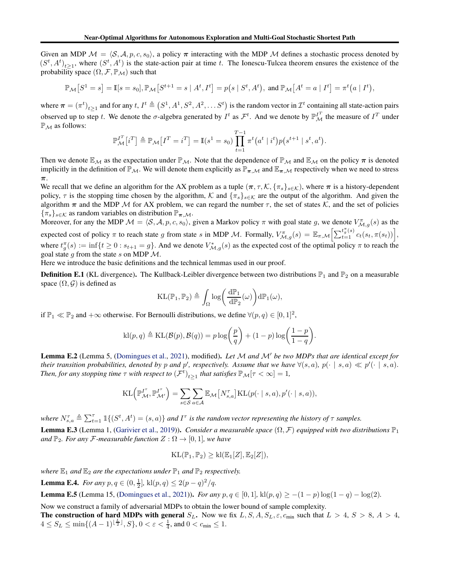Given an MDP  $M = \langle S, A, p, c, s_0 \rangle$ , a policy  $\pi$  interacting with the MDP M defines a stochastic process denoted by  $(S^t, A^t)_{t\geq 1}$ , where  $(S^t, A^t)$  is the state-action pair at time t. The Ionescu-Tulcea theorem ensures the existence of the probability space  $(\Omega, \mathcal{F}, \mathbb{P}_{\mathcal{M}})$  such that

$$
\mathbb{P}_{\mathcal{M}}[S^1 = s] = \mathbb{I}[s = s_0], \mathbb{P}_{\mathcal{M}}[S^{t+1} = s | A^t, I^t] = p(s | S^t, A^t), \text{ and } \mathbb{P}_{\mathcal{M}}[A^t = a | I^t] = \pi^t(a | I^t),
$$

where  $\pi = (\pi^t)_{t \geq 1}$  and for any  $t, I^t \triangleq (S^1, A^1, S^2, A^2, \dots S^t)$  is the random vector in  $\mathcal{I}^t$  containing all state-action pairs observed up to step t. We denote the  $\sigma$ -algebra generated by  $I^t$  as  $\mathcal{F}^t$ . And we denote by  $\mathbb{P}_{\mathcal{M}}^{I^T}$  the measure of  $I^T$  under  $\mathbb{P}_M$  as follows:

$$
\mathbb{P}_{\mathcal{M}}^{I^{T}}[i^{T}] \triangleq \mathbb{P}_{\mathcal{M}}[I^{T} = i^{T}] = \mathbb{I}(s^{1} = s_{0}) \prod_{t=1}^{T-1} \pi^{t}(a^{t} | i^{t}) p(s^{t+1} | s^{t}, a^{t}).
$$

Then we denote  $\mathbb{E}_M$  as the expectation under  $\mathbb{P}_M$ . Note that the dependence of  $\mathbb{P}_M$  and  $\mathbb{E}_M$  on the policy  $\pi$  is denoted implicitly in the definition of  $\mathbb{P}_M$ . We will denote them explicitly as  $\mathbb{P}_{\pi,M}$  and  $\mathbb{E}_{\pi,M}$  respectively when we need to stress π.

We recall that we define an algorithm for the AX problem as a tuple  $(\pi, \tau, \mathcal{K}, \{\pi_s\}_{s \in \mathcal{K}})$ , where  $\pi$  is a history-dependent policy,  $\tau$  is the stopping time chosen by the algorithm, K and  $\{\pi_s\}_{s\in\mathcal{K}}$  are the output of the algorithm. And given the algorithm  $\pi$  and the MDP M for AX problem, we can regard the number  $\tau$ , the set of states K, and the set of policies  ${\{\pi_s\}_{s\in\mathcal{K}}}$  as random variables on distribution  $\mathbb{P}_{\pi,\mathcal{M}}$ .

Moreover, for any the MDP  $M = \langle S, A, p, c, s_0 \rangle$ , given a Markov policy  $\pi$  with goal state g, we denote  $V_{M,g}^{\pi}(s)$  as the expected cost of policy  $\pi$  to reach state g from state s in MDP M. Formally,  $V_{\mathcal{M},g}^{\pi}(s) = \mathbb{E}_{\pi,\mathcal{M}} \Big[ \sum_{t=1}^{t_g^{\pi}(s)} c_t(s_t, \pi(s_t)) \Big],$ where  $t_g^{\pi}(s) := \inf\{t \ge 0 : s_{t+1} = g\}$ . And we denote  $V_{\mathcal{M},g}^*(s)$  as the expected cost of the optimal policy  $\pi$  to reach the goal state g from the state s on MDP  $\mathcal{M}$ .

Here we introduce the basic definitions and the technical lemmas used in our proof.

**Definition E.1** (KL divergence). The Kullback-Leibler divergence between two distributions  $\mathbb{P}_1$  and  $\mathbb{P}_2$  on a measurable space  $(\Omega, \mathcal{G})$  is defined as

$$
\mathrm{KL}(\mathbb{P}_1, \mathbb{P}_2) \triangleq \int_{\Omega} \log \biggl( \frac{d\mathbb{P}_1}{d\mathbb{P}_2}(\omega) \biggr) d\mathbb{P}_1(\omega),
$$

if  $\mathbb{P}_1 \ll \mathbb{P}_2$  and  $+\infty$  otherwise. For Bernoulli distributions, we define  $\forall (p, q) \in [0, 1]^2$ ,

$$
\text{kl}(p,q) \triangleq \text{KL}(\mathcal{B}(p),\mathcal{B}(q)) = p \log \left(\frac{p}{q}\right) + (1-p) \log \left(\frac{1-p}{1-q}\right).
$$

<span id="page-19-1"></span>Lemma E.2 (Lemma 5, [\(Domingues et al.,](#page-8-11) [2021\)](#page-8-11), modified). *Let* <sup>M</sup> *and* <sup>M</sup>′ *be two MDPs that are identical except for their transition probabilities, denoted by p and p', respectively. Assume that we have*  $\forall (s, a), p(\cdot | s, a) \ll p'(\cdot | s, a)$ . *Then, for any stopping time*  $\tau$  *with respect to*  $(\mathcal{F}^t)_{t\geq 1}$  *that satisfies*  $\mathbb{P}_M[\tau < \infty] = 1$ *,* 

$$
KL\left(\mathbb{P}_{\mathcal{M}}^{I^{\tau}}, \mathbb{P}_{\mathcal{M}'}^{I^{\tau}}\right) = \sum_{s \in \mathcal{S}} \sum_{a \in \mathcal{A}} \mathbb{E}_{\mathcal{M}}\left[N_{s,a}^{\tau}\right]KL(p(\cdot \mid s, a), p'(\cdot \mid s, a)),
$$

where  $N_{s,a}^{\tau} \triangleq \sum_{t=1}^{\tau} \mathbb{1}\{(S^t, A^t) = (s,a)\}\$ and I<sup> $\tau$ </sup> is the random vector representing the history of  $\tau$  samples.

<span id="page-19-2"></span>**Lemma E.3** (Lemma 1, [\(Garivier et al.](#page-8-14), [2019](#page-8-14))). *Consider a measurable space*  $(\Omega, \mathcal{F})$  *equipped with two distributions*  $\mathbb{P}_1$ *and*  $\mathbb{P}_2$ *. For any F*-measurable function  $Z : \Omega \to [0, 1]$ *, we have* 

$$
\mathrm{KL}(\mathbb{P}_1,\mathbb{P}_2)\geq \mathrm{kl}(\mathbb{E}_1[Z],\mathbb{E}_2[Z]),
$$

<span id="page-19-0"></span>*where*  $\mathbb{E}_1$  *and*  $\mathbb{E}_2$  *are the expectations under*  $\mathbb{P}_1$  *and*  $\mathbb{P}_2$  *respectively.* 

<span id="page-19-3"></span>**Lemma E.4.** *For any*  $p, q \in (0, \frac{1}{2}]$ , kl $(p, q) \leq 2(p - q)^2/q$ .

**Lemma E.5** (Lemma 15, [\(Domingues et al.,](#page-8-11) [2021\)](#page-8-11)). *For any*  $p, q \in [0, 1]$ , kl $(p, q) \ge -(1 - p) \log(1 - q) - \log(2)$ .

Now we construct a family of adversarial MDPs to obtain the lower bound of sample complexity.

The construction of hard MDPs with general  $S_L$ . Now we fix L, S, A,  $S_L$ ,  $\varepsilon$ ,  $c_{\min}$  such that  $L > 4$ ,  $S > 8$ ,  $A > 4$ ,  $4 \le S_L \le \min\{(A-1)^{\lfloor \frac{L}{2} \rfloor}, S\}, 0 < \varepsilon < \frac{1}{4}$ , and  $0 < c_{\min} \le 1$ .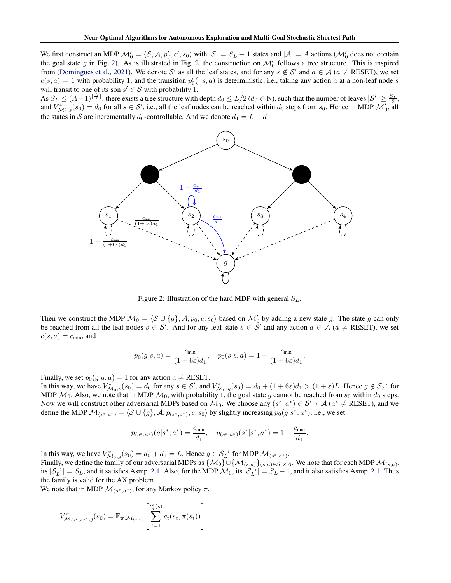We first construct an MDP  $\mathcal{M}'_0 = \langle \mathcal{S}, \mathcal{A}, p'_0, c', s_0 \rangle$  with  $|\mathcal{S}| = S_L - 1$  states and  $|\mathcal{A}| = A$  actions  $(\mathcal{M}'_0$  does not contain the goal state g in Fig. [2\)](#page-20-0). As is illustrated in Fig. [2,](#page-20-0) the construction on  $\mathcal{M}'_0$  follows a tree structure. This is inspired from [\(Domingues et al.,](#page-8-11) [2021](#page-8-11)). We denote S' as all the leaf states, and for any  $s \notin S'$  and  $a \in A$  ( $a \neq$  RESET), we set  $c(s, a) = 1$  with probability 1, and the transition  $p'_0(\cdot | s, a)$  is deterministic, i.e., taking any action a at a non-leaf node s will transit to one of its son  $s' \in S$  with probability 1.

<span id="page-20-0"></span>As  $S_L \leq (A-1)^{\lfloor \frac{L}{2} \rfloor}$ , there exists a tree structure with depth  $d_0 \leq L/2$  ( $d_0 \in \mathbb{N}$ ), such that the number of leaves  $|S'| \geq \frac{S_L}{2}$ , and  $V^*_{\mathcal{M}'_0,s}(s_0) = d_0$  for all  $s \in \mathcal{S}'$ , i.e., all the leaf nodes can be reached within  $d_0$  steps from  $s_0$ . Hence in MDP  $\mathcal{M}'_0$ , all the states in S are incrementally  $d_0$ -controllable. And we denote  $d_1 = L - d_0$ .



Figure 2: Illustration of the hard MDP with general  $S_L$ .

Then we construct the MDP  $\mathcal{M}_0 = \langle \mathcal{S} \cup \{g\}, \mathcal{A}, p_0, c, s_0 \rangle$  based on  $\mathcal{M}'_0$  by adding a new state g. The state g can only be reached from all the leaf nodes  $s \in S'$ . And for any leaf state  $s \in S'$  and any action  $a \in A$  ( $a \neq$  RESET), we set  $c(s, a) = c_{\text{min}}$ , and

$$
p_0(g|s, a) = \frac{c_{\min}}{(1 + 6\varepsilon)d_1}, \quad p_0(s|s, a) = 1 - \frac{c_{\min}}{(1 + 6\varepsilon)d_1}.
$$

Finally, we set  $p_0(g|g, a) = 1$  for any action  $a \neq$  RESET.

In this way, we have  $V^*_{\mathcal{M}_0,s}(s_0) = d_0$  for any  $s \in \mathcal{S}'$ , and  $V^*_{\mathcal{M}_0,g}(s_0) = d_0 + (1+6\varepsilon)d_1 > (1+\varepsilon)L$ . Hence  $g \notin \mathcal{S}_L^{\to}$  for MDP  $M_0$ . Also, we note that in MDP  $M_0$ , with probability 1, the goal state g cannot be reached from  $s_0$  within  $d_0$  steps. Now we will construct other adversarial MDPs based on  $M_0$ . We choose any  $(s^*, a^*) \in S' \times A$   $(a^* \neq \text{RESET})$ , and we define the MDP  $\mathcal{M}_{(s^*,a^*)} = \langle \mathcal{S} \cup \{g\}, \mathcal{A}, p_{(s^*,a^*)}, c, s_0 \rangle$  by slightly increasing  $p_0(g|s^*, a^*)$ , i.e., we set

$$
p_{(s^*,a^*)}(g|s^*,a^*) = \frac{c_{\min}}{d_1}, \quad p_{(s^*,a^*)}(s^*|s^*,a^*) = 1 - \frac{c_{\min}}{d_1}.
$$

In this way, we have  $V^*_{\mathcal{M}_0,g}(s_0) = d_0 + d_1 = L$ . Hence  $g \in \mathcal{S}_L^{\to}$  for MDP  $\mathcal{M}_{(s^*,a^*)}$ . Finally, we define the family of our adversarial MDPs as  $\{M_0\}\cup\{M_{(s,a)}\}_{(s,a)\in S'\times\mathcal{A}}$ . We note that for each MDP  $\mathcal{M}_{(s,a)}$ , its  $|S_L^{\rightarrow}| = S_L$ , and it satisfies Asmp. [2.1.](#page-2-0) Also, for the MDP  $\mathcal{M}_0$ , its  $|S_L^{\rightarrow}| = S_L - 1$ , and it also satisfies Asmp. 2.1. Thus the family is valid for the AX problem.

We note that in MDP  $\mathcal{M}_{(s^*,a^*)}$ , for any Markov policy  $\pi$ ,

$$
V^{\pi}_{\mathcal{M}_{(s^*,a^*)},g}(s_0) = \mathbb{E}_{\pi,\mathcal{M}_{(s,a)}} \left[ \sum_{t=1}^{t_{g}^{\pi}(s)} c_t(s_t, \pi(s_t)) \right]
$$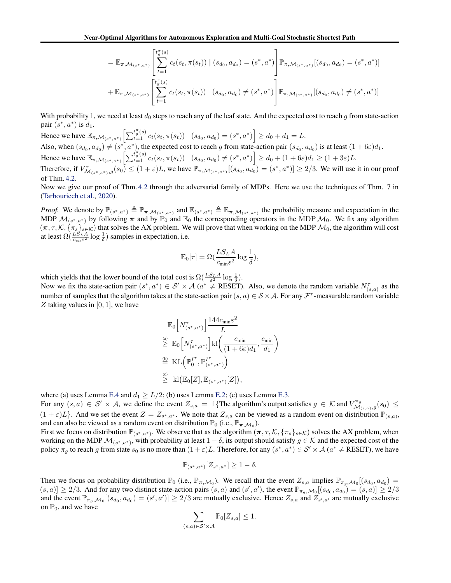$$
= \mathbb{E}_{\pi, \mathcal{M}_{(s^*, a^*)}} \left[ \sum_{t=1}^{t_0^{\pi}(s)} c_t(s_t, \pi(s_t)) \mid (s_{d_0}, a_{d_0}) = (s^*, a^*) \right] \mathbb{P}_{\pi, \mathcal{M}_{(s^*, a^*)}} [(s_{d_0}, a_{d_0}) = (s^*, a^*)]
$$
  
+ 
$$
\mathbb{E}_{\pi, \mathcal{M}_{(s^*, a^*)}} \left[ \sum_{t=1}^{t_0^{\pi}(s)} c_t(s_t, \pi(s_t)) \mid (s_{d_0}, a_{d_0}) \neq (s^*, a^*) \right] \mathbb{P}_{\pi, \mathcal{M}_{(s^*, a^*)}} [(s_{d_0}, a_{d_0}) \neq (s^*, a^*)]
$$

With probability 1, we need at least  $d_0$  steps to reach any of the leaf state. And the expected cost to reach g from state-action pair  $(s^*, a^*)$  is  $d_1$ .

Hence we have  $\mathbb{E}_{\pi,\mathcal{M}_{(s^*,a^*)}}\left[\sum_{t=1}^{t_0^{\pi}(s)} c_t(s_t, \pi(s_t)) \mid (s_{d_0}, a_{d_0}) = (s^*, a^*)\right] \ge d_0 + d_1 = L.$ Also, when  $(s_{d_0}, a_{d_0}) \neq (s^*, a^*)$ , the expected cost to reach g from state-action pair  $(s_{d_0}, a_{d_0})$  is at least  $(1 + 6\varepsilon)d_1$ . Hence we have  $\mathbb{E}_{\pi,\mathcal{M}_{(s^*,a^*)}}\left[\sum_{t=1}^{t_g^{\pi}(s)} c_t(s_t, \pi(s_t)) \mid (s_{d_0}, a_{d_0}) \neq (s^*, a^*)\right] \geq d_0 + (1+6\varepsilon)d_1 \geq (1+3\varepsilon)L$ . Therefore, if  $V^{\pi}_{\mathcal{M}_{(s^*,a^*)},g}(s_0) \leq (1+\varepsilon)L$ , we have  $\mathbb{P}_{\pi,\mathcal{M}_{(s^*,a^*)}}[(s_{d_0},a_{d_0})=(s^*,a^*)] \geq 2/3$ . We will use it in our proof of Thm. [4.2.](#page-7-3)

Now we give our proof of Thm. [4.2](#page-7-3) through the adversarial family of MDPs. Here we use the techniques of Thm. 7 in [\(Tarbouriech et al.](#page-8-4), [2020](#page-8-4)).

*Proof.* We denote by  $\mathbb{P}_{(s^*,a^*)} \triangleq \mathbb{P}_{\pi,\mathcal{M}_{(s^*,a^*)}}$  and  $\mathbb{E}_{(s^*,a^*)} \triangleq \mathbb{E}_{\pi,\mathcal{M}_{(s^*,a^*)}}$  the probability measure and expectation in the MDP  $\mathcal{M}_{(s^*,a^*)}$  by following  $\pi$  and by  $\mathbb{P}_0$  and  $\mathbb{E}_0$  the corresponding operators in the MDP  $\mathcal{M}_0$ . We fix any algorithm  $(\pi, \tau, \mathcal{K}, \{\pi_s\}_{s\in\mathcal{K}})$  that solves the AX problem. We will prove that when working on the MDP  $\mathcal{M}_0$ , the algorithm will cost at least  $\Omega(\frac{LS_L A}{c_{\min}\varepsilon^2} \log \frac{1}{\delta})$  samples in expectation, i.e.

$$
\mathbb{E}_0[\tau] = \Omega(\frac{LS_L A}{c_{\min} \varepsilon^2} \log \frac{1}{\delta}),
$$

which yields that the lower bound of the total cost is  $\Omega(\frac{LSLA}{\varepsilon^2} \log \frac{1}{\delta})$ .

Now we fix the state-action pair  $(s^*, a^*) \in S' \times A$   $(a^* \neq$  RESET). Also, we denote the random variable  $N_{(s,a)}^{\tau}$  as the number of samples that the algorithm takes at the state-action pair  $(s, a) \in S \times A$ . For any  $\mathcal{F}^{\tau}$ -measurable random variable Z taking values in  $[0, 1]$ , we have

$$
\mathbb{E}_{0}\left[N_{(s^*,a^*)}^{\tau}\right] \frac{144c_{\min}\varepsilon^2}{L}
$$
\n
$$
\geq \mathbb{E}_{0}\left[N_{(s^*,a^*)}^{\tau}\right] \text{kl}\left(\frac{c_{\min}}{(1+6\varepsilon)d_1}, \frac{c_{\min}}{d_1}\right)
$$
\n
$$
\stackrel{\text{(b)}}{=} \text{KL}\left(\mathbb{P}_0^{I^{\tau}}, \mathbb{P}_{(s^*,a^*)}^{I^{\tau}}\right)
$$
\n
$$
\geq \text{kl}\left(\mathbb{E}_{0}[Z], \mathbb{E}_{(s^*,a^*)}[Z]\right),
$$

where (a) uses Lemma [E.4](#page-19-0) and  $d_1 \geq L/2$ ; (b) uses Lemma [E.2;](#page-19-1) (c) uses Lemma [E.3.](#page-19-2)

For any  $(s, a) \in S' \times A$ , we define the event  $Z_{s,a} = \mathbb{1}\{\text{The algorithm's output satisfies } g \in \mathcal{K} \text{ and } V^{\pi_{g}}_{\mathcal{M}_{(s,a)},g}(s_0) \leq \mathcal{K} \text{ and } V^{\pi_{g}}_{\mathcal{M}_{(s,a)},g}(s_0) \leq \mathcal{K} \text{ and } V^{\pi_{g}}_{\mathcal{M}_{(s,a)},g}(s_0) \leq \mathcal{K} \text{ and } V^{\pi_{g}}_{\mathcal{M}_{(s,a)},g}(s_0) \leq \$  $(1+\varepsilon)L$ . And we set the event  $Z = Z_{s^*,a^*}$ . We note that  $Z_{s,a}$  can be viewed as a random event on distribution  $\mathbb{P}_{(s,a)}$ , and can also be viewed as a random event on distribution  $\mathbb{P}_0$  (i.e.,  $\mathbb{P}_{\pi,\mathcal{M}_0}$ ).

First we focus on distribution  $\mathbb{P}_{(s^*,a^*)}$ . We observe that as the algorithm  $(\pi, \tau, \mathcal{K}, \{\pi_s\}_{s \in \mathcal{K}})$  solves the AX problem, when working on the MDP  $\mathcal{M}_{(s^*,a^*)}$ , with probability at least  $1-\delta$ , its output should satisfy  $g \in \mathcal{K}$  and the expected cost of the policy  $\pi_g$  to reach g from state  $s_0$  is no more than  $(1+\varepsilon)L$ . Therefore, for any  $(s^*, a^*) \in S' \times A$   $(a^* \neq \text{RESET})$ , we have

$$
\mathbb{P}_{(s^*,a^*)}[Z_{s^*,a^*}]\geq 1-\delta.
$$

Then we focus on probability distribution  $\mathbb{P}_0$  (i.e.,  $\mathbb{P}_{\pi,\mathcal{M}_0}$ ). We recall that the event  $Z_{s,a}$  implies  $\mathbb{P}_{\pi_g,\mathcal{M}_0}[(s_{d_0}, a_{d_0})$  $(s, a)] \ge 2/3$ . And for any two distinct state-action pairs  $(s, a)$  and  $(s', a')$ , the event  $\mathbb{P}_{\pi_g, \mathcal{M}_0}$   $[(s_{d_0}, a_{d_0}) = (s, a)] \ge 2/3$ and the event  $\mathbb{P}_{\pi_g, \mathcal{M}_0}[(s_{d_0}, a_{d_0}) = (s', a') \ge 2/3$  are mutually exclusive. Hence  $Z_{s,a}$  and  $Z_{s',a'}$  are mutually exclusive on  $\mathbb{P}_0$ , and we have

$$
\sum_{(s,a)\in\mathcal{S}'\times\mathcal{A}}\mathbb{P}_0[Z_{s,a}]\leq 1.
$$